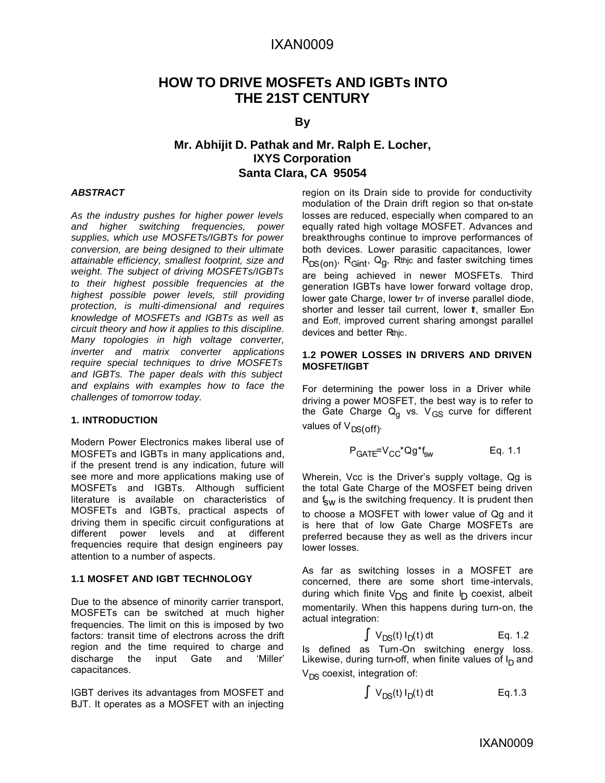## IXAN0009

## **HOW TO DRIVE MOSFETs AND IGBTs INTO THE 21ST CENTURY**

#### **By**

## **Mr. Abhijit D. Pathak and Mr. Ralph E. Locher, IXYS Corporation Santa Clara, CA 95054**

#### *ABSTRACT*

*As the industry pushes for higher power levels and higher switching frequencies, power supplies, which use MOSFETs/IGBTs for power conversion, are being designed to their ultimate attainable efficiency, smallest footprint, size and weight. The subject of driving MOSFETs/IGBTs to their highest possible frequencies at the highest possible power levels, still providing protection, is multi-dimensional and requires knowledge of MOSFETs and IGBTs as well as circuit theory and how it applies to this discipline. Many topologies in high voltage converter, inverter and matrix converter applications require special techniques to drive MOSFETs and IGBTs. The paper deals with this subject and explains with examples how to face the challenges of tomorrow today.*

#### **1. INTRODUCTION**

Modern Power Electronics makes liberal use of MOSFETs and IGBTs in many applications and, if the present trend is any indication, future will see more and more applications making use of MOSFETs and IGBTs. Although sufficient literature is available on characteristics of MOSFETs and IGBTs, practical aspects of driving them in specific circuit configurations at different power levels and at different frequencies require that design engineers pay attention to a number of aspects.

#### **1.1 MOSFET AND IGBT TECHNOLOGY**

Due to the absence of minority carrier transport, MOSFETs can be switched at much higher frequencies. The limit on this is imposed by two factors: transit time of electrons across the drift region and the time required to charge and discharge the input Gate and 'Miller' capacitances.

IGBT derives its advantages from MOSFET and BJT. It operates as a MOSFET with an injecting region on its Drain side to provide for conductivity modulation of the Drain drift region so that on-state losses are reduced, especially when compared to an equally rated high voltage MOSFET. Advances and breakthroughs continue to improve performances of both devices. Lower parasitic capacitances, lower  $\mathsf{R}_{\mathsf{DS}(\mathsf{on})^\prime}$   $\mathsf{R}_{\mathsf{Gint}^\prime}$   $\mathsf{Q}_\mathsf{g}$ ,  $\mathsf{R}$ thjc and faster switching times are being achieved in newer MOSFETs. Third generation IGBTs have lower forward voltage drop, lower gate Charge, lower trr of inverse parallel diode, shorter and lesser tail current, lower tf, smaller Eon and Eoff, improved current sharing amongst parallel devices and better Rthic.

#### **1.2 POWER LOSSES IN DRIVERS AND DRIVEN MOSFET/IGBT**

For determining the power loss in a Driver while driving a power MOSFET, the best way is to refer to the Gate Charge Q<sub>g</sub> vs. V<sub>GS</sub> curve for different values of  $V_{DS(off)}$ .

$$
P_{GATE} = V_{CC}^* Qg^* f_{sw}
$$
 Eq. 1.1

Wherein, Vcc is the Driver's supply voltage, Qg is the total Gate Charge of the MOSFET being driven and  $f_{SW}$  is the switching frequency. It is prudent then to choose a MOSFET with lower value of Qg and it is here that of low Gate Charge MOSFETs are preferred because they as well as the drivers incur lower losses.

As far as switching losses in a MOSFET are concerned, there are some short time-intervals, during which finite  $V_{DS}$  and finite  $I_D$  coexist, albeit momentarily. When this happens during turn-on, the actual integration:

$$
\hat{\mathbf{O}} \, \mathsf{V}_{DS}(t) \, \mathsf{I}_D(t) \, \mathsf{dt} \qquad \qquad \mathsf{Eq. 1.2}
$$

Is defined as Turn-On switching energy loss. Likewise, during turn-off, when finite values of I<sub>D</sub> and  $V_{DS}$  coexist, integration of:

$$
\mathbf{\hat{O}}\ \mathsf{V}_{\mathsf{DS}}(t)\ I_{\mathsf{D}}(t)\ \mathsf{dt} \qquad \qquad \mathsf{Eq.1.3}
$$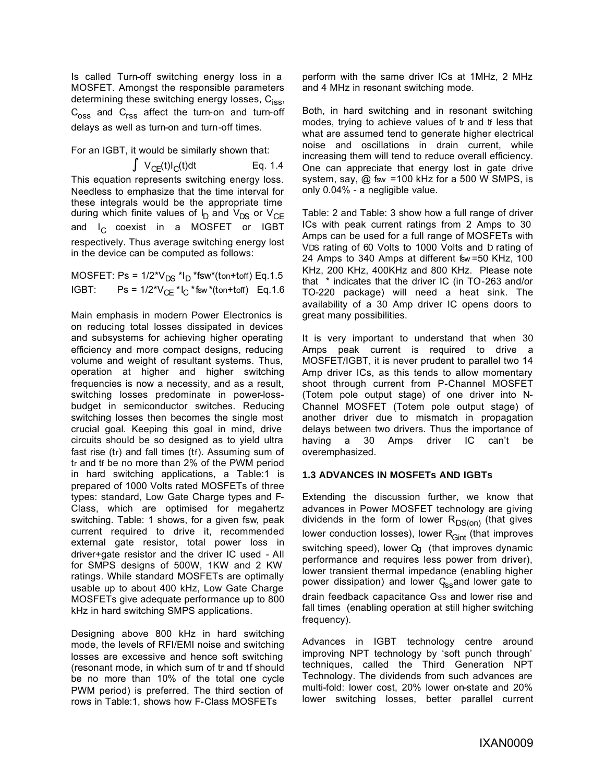Is called Turn-off switching energy loss in a MOSFET. Amongst the responsible parameters determining these switching energy losses,  $C_{iss}$ ,  $C_{\text{oss}}$  and  $C_{\text{rss}}$  affect the turn-on and turn-off delays as well as turn-on and turn-off times.

For an IGBT, it would be similarly shown that:

$$
\bullet \ \vee_{CE}(t)I_C(t)dt \qquad \qquad Eq. 1.4
$$

This equation represents switching energy loss. Needless to emphasize that the time interval for these integrals would be the appropriate time during which finite values of I<sub>D</sub> and V<sub>DS</sub> or V<sub>CE</sub> and  $I_C$  coexist in a MOSFET or IGBT respectively. Thus average switching energy lost in the device can be computed as follows:

MOSFET: Ps = 1/2\*VDS \*I<sup>D</sup> \*fsw\*(ton+toff) Eq.1.5 IGBT: Ps = 1/2\* $V_{CE}$ \*I<sub>C</sub> \*fsw \*(ton+toff) Eq.1.6

Main emphasis in modern Power Electronics is on reducing total losses dissipated in devices and subsystems for achieving higher operating efficiency and more compact designs, reducing volume and weight of resultant systems. Thus, operation at higher and higher switching frequencies is now a necessity, and as a result, switching losses predominate in power-lossbudget in semiconductor switches. Reducing switching losses then becomes the single most crucial goal. Keeping this goal in mind, drive circuits should be so designed as to yield ultra fast rise (tr) and fall times (tf). Assuming sum of tr and tf be no more than 2% of the PWM period in hard switching applications, a Table:1 is prepared of 1000 Volts rated MOSFETs of three types: standard, Low Gate Charge types and F-Class, which are optimised for megahertz switching. Table: 1 shows, for a given fsw, peak current required to drive it, recommended external gate resistor, total power loss in driver+gate resistor and the driver IC used - All for SMPS designs of 500W, 1KW and 2 KW ratings. While standard MOSFETs are optimally usable up to about 400 kHz, Low Gate Charge MOSFETs give adequate performance up to 800 kHz in hard switching SMPS applications.

Designing above 800 kHz in hard switching mode, the levels of RFI/EMI noise and switching losses are excessive and hence soft switching (resonant mode, in which sum of tr and tf should be no more than 10% of the total one cycle PWM period) is preferred. The third section of rows in Table:1, shows how F-Class MOSFETs

perform with the same driver ICs at 1MHz, 2 MHz and 4 MHz in resonant switching mode.

Both, in hard switching and in resonant switching modes, trying to achieve values of tr and tf less that what are assumed tend to generate higher electrical noise and oscillations in drain current, while increasing them will tend to reduce overall efficiency. One can appreciate that energy lost in gate drive system, say, @ fsw =100 kHz for a 500 W SMPS, is only 0.04% - a negligible value.

Table: 2 and Table: 3 show how a full range of driver ICs with peak current ratings from 2 Amps to 30 Amps can be used for a full range of MOSFETs with VDS rating of 60 Volts to 1000 Volts and ID rating of 24 Amps to 340 Amps at different fsw = 50 KHz, 100 KHz, 200 KHz, 400KHz and 800 KHz. Please note that \* indicates that the driver IC (in TO-263 and/or TO-220 package) will need a heat sink. The availability of a 30 Amp driver IC opens doors to great many possibilities.

It is very important to understand that when 30 Amps peak current is required to drive a MOSFET/IGBT, it is never prudent to parallel two 14 Amp driver ICs, as this tends to allow momentary shoot through current from P-Channel MOSFET (Totem pole output stage) of one driver into N-Channel MOSFET (Totem pole output stage) of another driver due to mismatch in propagation delays between two drivers. Thus the importance of having a 30 Amps driver IC can't be overemphasized.

#### **1.3 ADVANCES IN MOSFETs AND IGBTs**

Extending the discussion further, we know that advances in Power MOSFET technology are giving dividends in the form of lower  $R_{DS(0n)}$  (that gives lower conduction losses), lower  $R_{Gint}$  (that improves switching speed), lower Qg (that improves dynamic performance and requires less power from driver), lower transient thermal impedance (enabling higher power dissipation) and lower  $G<sub>ss</sub>$  and lower gate to drain feedback capacitance Gss and lower rise and fall times (enabling operation at still higher switching frequency).

Advances in IGBT technology centre around improving NPT technology by 'soft punch through' techniques, called the Third Generation NPT Technology. The dividends from such advances are multi-fold: lower cost, 20% lower on-state and 20% lower switching losses, better parallel current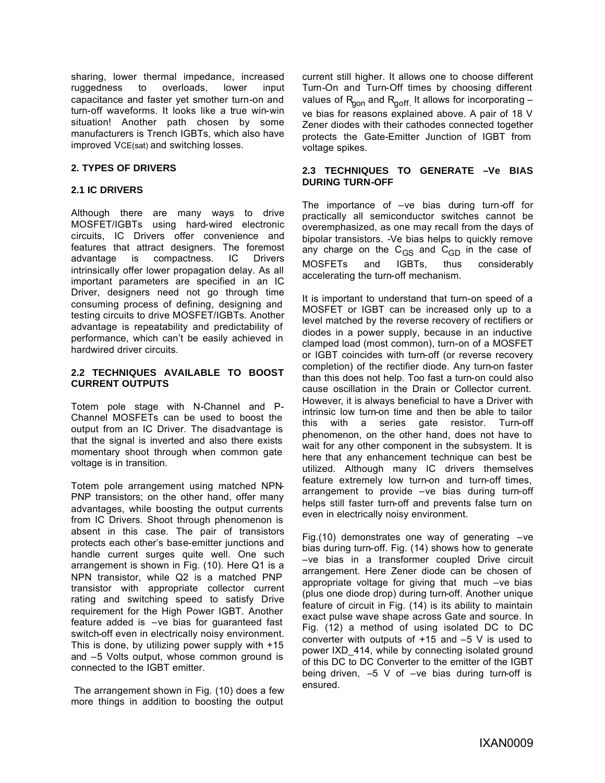sharing, lower thermal impedance, increased ruggedness to overloads, lower input capacitance and faster yet smother turn-on and turn-off waveforms. It looks like a true win-win situation! Another path chosen by some manufacturers is Trench IGBTs, which also have improved VCE(sat) and switching losses.

#### **2. TYPES OF DRIVERS**

#### **2.1 IC DRIVERS**

Although there are many ways to drive MOSFET/IGBTs using hard-wired electronic circuits, IC Drivers offer convenience and features that attract designers. The foremost advantage is compactness. IC Drivers intrinsically offer lower propagation delay. As all important parameters are specified in an IC Driver, designers need not go through time consuming process of defining, designing and testing circuits to drive MOSFET/IGBTs. Another advantage is repeatability and predictability of performance, which can't be easily achieved in hardwired driver circuits.

#### **2.2 TECHNIQUES AVAILABLE TO BOOST CURRENT OUTPUTS**

Totem pole stage with N-Channel and P-Channel MOSFETs can be used to boost the output from an IC Driver. The disadvantage is that the signal is inverted and also there exists momentary shoot through when common gate voltage is in transition.

Totem pole arrangement using matched NPN-PNP transistors; on the other hand, offer many advantages, while boosting the output currents from IC Drivers. Shoot through phenomenon is absent in this case. The pair of transistors protects each other's base-emitter junctions and handle current surges quite well. One such arrangement is shown in Fig. (10). Here Q1 is a NPN transistor, while Q2 is a matched PNP transistor with appropriate collector current rating and switching speed to satisfy Drive requirement for the High Power IGBT. Another feature added is –ve bias for guaranteed fast switch-off even in electrically noisy environment. This is done, by utilizing power supply with +15 and –5 Volts output, whose common ground is connected to the IGBT emitter.

 The arrangement shown in Fig. (10) does a few more things in addition to boosting the output

current still higher. It allows one to choose different Turn-On and Turn-Off times by choosing different values of R<sub>gon</sub> and R<sub>goff.</sub> It allows for incorporating – ve bias for reasons explained above. A pair of 18 V Zener diodes with their cathodes connected together protects the Gate-Emitter Junction of IGBT from voltage spikes.

#### **2.3 TECHNIQUES TO GENERATE –Ve BIAS DURING TURN-OFF**

The importance of –ve bias during turn-off for practically all semiconductor switches cannot be overemphasized, as one may recall from the days of bipolar transistors. -Ve bias helps to quickly remove any charge on the  $C_{GS}$  and  $C_{GD}$  in the case of MOSFETs and IGBTs, thus considerably accelerating the turn-off mechanism.

It is important to understand that turn-on speed of a MOSFET or IGBT can be increased only up to a level matched by the reverse recovery of rectifiers or diodes in a power supply, because in an inductive clamped load (most common), turn-on of a MOSFET or IGBT coincides with turn-off (or reverse recovery completion) of the rectifier diode. Any turn-on faster than this does not help. Too fast a turn-on could also cause oscillation in the Drain or Collector current. However, it is always beneficial to have a Driver with intrinsic low turn-on time and then be able to tailor this with a series gate resistor. Turn-off phenomenon, on the other hand, does not have to wait for any other component in the subsystem. It is here that any enhancement technique can best be utilized. Although many IC drivers themselves feature extremely low turn-on and turn-off times, arrangement to provide –ve bias during turn-off helps still faster turn-off and prevents false turn on even in electrically noisy environment.

Fig.(10) demonstrates one way of generating  $-ve$ bias during turn-off. Fig. (14) shows how to generate –ve bias in a transformer coupled Drive circuit arrangement. Here Zener diode can be chosen of appropriate voltage for giving that much –ve bias (plus one diode drop) during turn-off. Another unique feature of circuit in Fig. (14) is its ability to maintain exact pulse wave shape across Gate and source. In Fig. (12) a method of using isolated DC to DC converter with outputs of  $+15$  and  $-5$  V is used to power IXD\_414, while by connecting isolated ground of this DC to DC Converter to the emitter of the IGBT being driven,  $-5$  V of  $-ve$  bias during turn-off is ensured.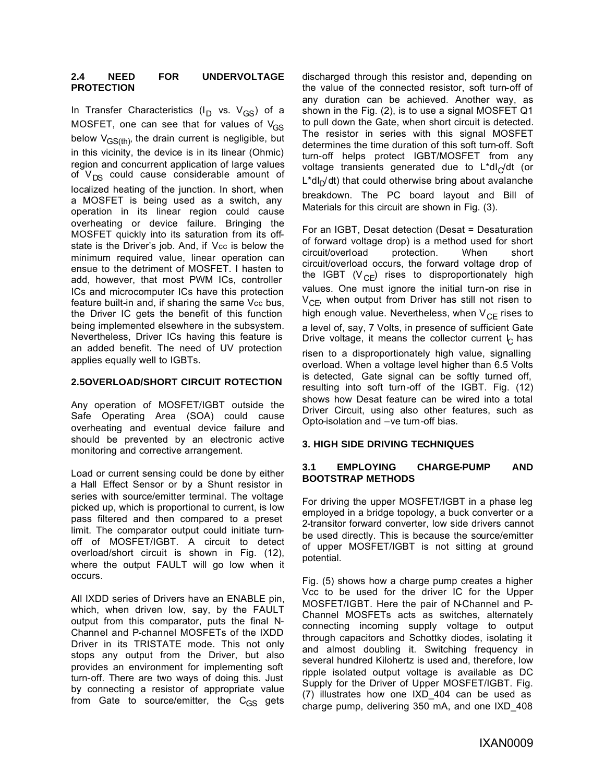#### **2.4 NEED FOR UNDERVOLTAGE PROTECTION**

In Transfer Characteristics (I<sub>D</sub> vs. V<sub>GS</sub>) of a MOSFET, one can see that for values of  $V_{GS}$ below  $V_{GS(th)}$ , the drain current is negligible, but in this vicinity, the device is in its linear (Ohmic) region and concurrent application of large values of  $V_{DS}$  could cause considerable amount of localized heating of the junction. In short, when a MOSFET is being used as a switch, any operation in its linear region could cause overheating or device failure. Bringing the MOSFET quickly into its saturation from its offstate is the Driver's job. And, if Vcc is below the minimum required value, linear operation can ensue to the detriment of MOSFET. I hasten to add, however, that most PWM ICs, controller ICs and microcomputer ICs have this protection feature built-in and, if sharing the same Vcc bus, the Driver IC gets the benefit of this function being implemented elsewhere in the subsystem. Nevertheless, Driver ICs having this feature is an added benefit. The need of UV protection applies equally well to IGBTs.

#### **2.5OVERLOAD/SHORT CIRCUIT ROTECTION**

Any operation of MOSFET/IGBT outside the Safe Operating Area (SOA) could cause overheating and eventual device failure and should be prevented by an electronic active monitoring and corrective arrangement.

Load or current sensing could be done by either a Hall Effect Sensor or by a Shunt resistor in series with source/emitter terminal. The voltage picked up, which is proportional to current, is low pass filtered and then compared to a preset limit. The comparator output could initiate turnoff of MOSFET/IGBT. A circuit to detect overload/short circuit is shown in Fig. (12), where the output FAULT will go low when it occurs.

All IXDD series of Drivers have an ENABLE pin, which, when driven low, say, by the FAULT output from this comparator, puts the final N-Channel and P-channel MOSFETs of the IXDD Driver in its TRISTATE mode. This not only stops any output from the Driver, but also provides an environment for implementing soft turn-off. There are two ways of doing this. Just by connecting a resistor of appropriate value from Gate to source/emitter, the  $C_{GS}$  gets discharged through this resistor and, depending on the value of the connected resistor, soft turn-off of any duration can be achieved. Another way, as shown in the Fig. (2), is to use a signal MOSFET Q1 to pull down the Gate, when short circuit is detected. The resistor in series with this signal MOSFET determines the time duration of this soft turn-off. Soft turn-off helps protect IGBT/MOSFET from any voltage transients generated due to L\*dI $_{\rm C}$ /dt (or L\*dI<sub>D</sub>/dt) that could otherwise bring about avalanche breakdown. The PC board layout and Bill of Materials for this circuit are shown in Fig. (3).

For an IGBT, Desat detection (Desat = Desaturation of forward voltage drop) is a method used for short circuit/overload protection. When short circuit/overload occurs, the forward voltage drop of the IGBT ( $V_{\text{CF}}$ ) rises to disproportionately high values. One must ignore the initial turn-on rise in  $V_{\text{CF}}$ , when output from Driver has still not risen to high enough value. Nevertheless, when  $V_{CF}$  rises to a level of, say, 7 Volts, in presence of sufficient Gate Drive voltage, it means the collector current  $\mathcal{\mathsf{C}}$  has

risen to a disproportionately high value, signalling overload. When a voltage level higher than 6.5 Volts is detected, Gate signal can be softly turned off, resulting into soft turn-off of the IGBT. Fig. (12) shows how Desat feature can be wired into a total Driver Circuit, using also other features, such as Opto-isolation and –ve turn-off bias.

#### **3. HIGH SIDE DRIVING TECHNIQUES**

#### **3.1 EMPLOYING CHARGE-PUMP AND BOOTSTRAP METHODS**

For driving the upper MOSFET/IGBT in a phase leg employed in a bridge topology, a buck converter or a 2-transitor forward converter, low side drivers cannot be used directly. This is because the source/emitter of upper MOSFET/IGBT is not sitting at ground potential.

Fig. (5) shows how a charge pump creates a higher Vcc to be used for the driver IC for the Upper MOSFET/IGBT. Here the pair of N-Channel and P-Channel MOSFETs acts as switches, alternately connecting incoming supply voltage to output through capacitors and Schottky diodes, isolating it and almost doubling it. Switching frequency in several hundred Kilohertz is used and, therefore, low ripple isolated output voltage is available as DC Supply for the Driver of Upper MOSFET/IGBT. Fig. (7) illustrates how one IXD\_404 can be used as charge pump, delivering 350 mA, and one IXD\_408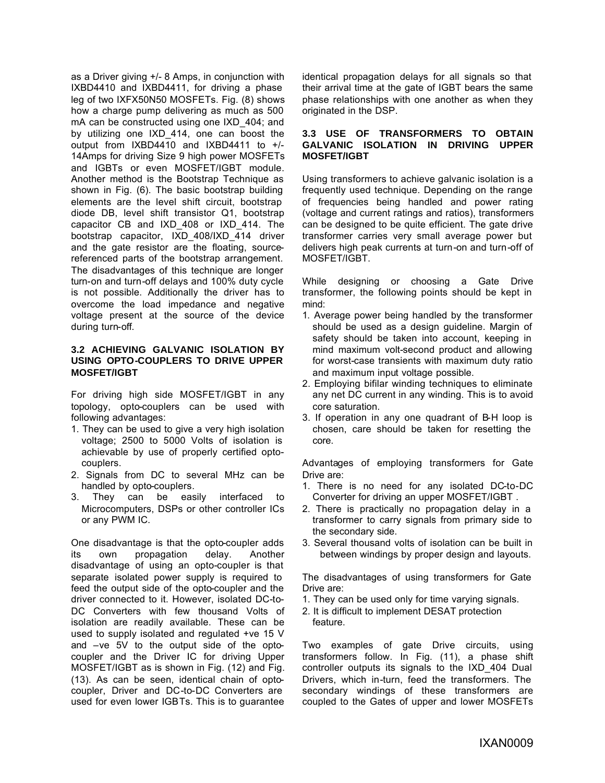as a Driver giving +/- 8 Amps, in conjunction with IXBD4410 and IXBD4411, for driving a phase leg of two IXFX50N50 MOSFETs. Fig. (8) shows how a charge pump delivering as much as 500 mA can be constructed using one IXD\_404; and by utilizing one IXD\_414, one can boost the output from IXBD4410 and IXBD4411 to +/- 14Amps for driving Size 9 high power MOSFETs and IGBTs or even MOSFET/IGBT module. Another method is the Bootstrap Technique as shown in Fig. (6). The basic bootstrap building elements are the level shift circuit, bootstrap diode DB, level shift transistor Q1, bootstrap capacitor CB and IXD\_408 or IXD\_414. The bootstrap capacitor, IXD\_408/IXD\_414 driver and the gate resistor are the floating, sourcereferenced parts of the bootstrap arrangement. The disadvantages of this technique are longer turn-on and turn-off delays and 100% duty cycle is not possible. Additionally the driver has to overcome the load impedance and negative voltage present at the source of the device during turn-off.

#### **3.2 ACHIEVING GALVANIC ISOLATION BY USING OPTO-COUPLERS TO DRIVE UPPER MOSFET/IGBT**

For driving high side MOSFET/IGBT in any topology, opto-couplers can be used with following advantages:

- 1. They can be used to give a very high isolation voltage; 2500 to 5000 Volts of isolation is achievable by use of properly certified optocouplers.
- 2. Signals from DC to several MHz can be handled by opto-couplers.
- 3. They can be easily interfaced to Microcomputers, DSPs or other controller ICs or any PWM IC.

One disadvantage is that the opto-coupler adds its own propagation delay. Another disadvantage of using an opto-coupler is that separate isolated power supply is required to feed the output side of the opto-coupler and the driver connected to it. However, isolated DC-to-DC Converters with few thousand Volts of isolation are readily available. These can be used to supply isolated and regulated +ve 15 V and –ve 5V to the output side of the optocoupler and the Driver IC for driving Upper MOSFET/IGBT as is shown in Fig. (12) and Fig. (13). As can be seen, identical chain of optocoupler, Driver and DC-to-DC Converters are used for even lower IGBTs. This is to guarantee

identical propagation delays for all signals so that their arrival time at the gate of IGBT bears the same phase relationships with one another as when they originated in the DSP.

#### **3.3 USE OF TRANSFORMERS TO OBTAIN GALVANIC ISOLATION IN DRIVING UPPER MOSFET/IGBT**

Using transformers to achieve galvanic isolation is a frequently used technique. Depending on the range of frequencies being handled and power rating (voltage and current ratings and ratios), transformers can be designed to be quite efficient. The gate drive transformer carries very small average power but delivers high peak currents at turn-on and turn-off of MOSFET/IGBT.

While designing or choosing a Gate Drive transformer, the following points should be kept in mind:

- 1. Average power being handled by the transformer should be used as a design guideline. Margin of safety should be taken into account, keeping in mind maximum volt-second product and allowing for worst-case transients with maximum duty ratio and maximum input voltage possible.
- 2. Employing bifilar winding techniques to eliminate any net DC current in any winding. This is to avoid core saturation.
- 3. If operation in any one quadrant of B-H loop is chosen, care should be taken for resetting the core.

Advantages of employing transformers for Gate Drive are:

- 1. There is no need for any isolated DC-to-DC Converter for driving an upper MOSFET/IGBT .
- 2. There is practically no propagation delay in a transformer to carry signals from primary side to the secondary side.
- 3. Several thousand volts of isolation can be built in between windings by proper design and layouts.

The disadvantages of using transformers for Gate Drive are:

- 1. They can be used only for time varying signals.
- 2. It is difficult to implement DESAT protection feature.

Two examples of gate Drive circuits, using transformers follow. In Fig. (11), a phase shift controller outputs its signals to the IXD\_404 Dual Drivers, which in-turn, feed the transformers. The secondary windings of these transformers are coupled to the Gates of upper and lower MOSFETs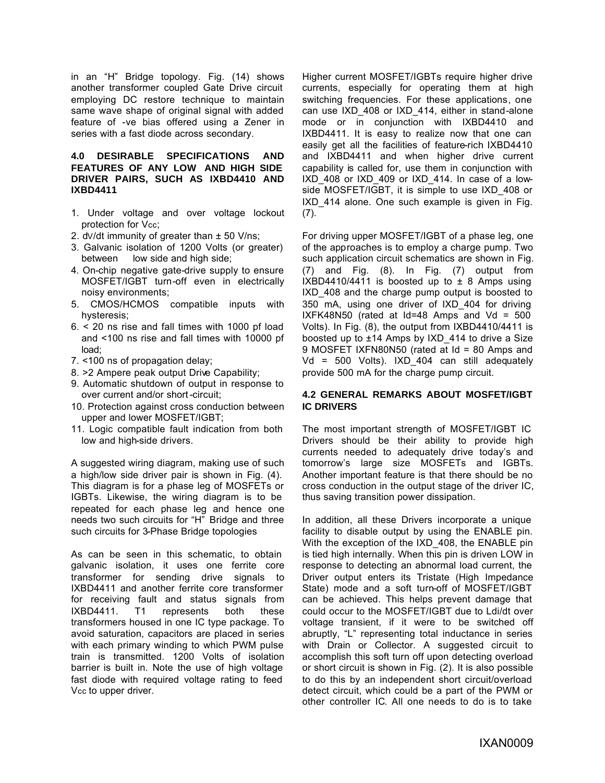in an "H" Bridge topology. Fig. (14) shows another transformer coupled Gate Drive circuit employing DC restore technique to maintain same wave shape of original signal with added feature of -ve bias offered using a Zener in series with a fast diode across secondary.

#### **4.0 DESIRABLE SPECIFICATIONS AND FEATURES OF ANY LOW AND HIGH SIDE DRIVER PAIRS, SUCH AS IXBD4410 AND IXBD4411**

- 1. Under voltage and over voltage lockout protection for Vcc;
- 2. dv/dt immunity of greater than  $\pm$  50 V/ns;
- 3. Galvanic isolation of 1200 Volts (or greater) between low side and high side;
- 4. On-chip negative gate-drive supply to ensure MOSFET/IGBT turn-off even in electrically noisy environments;
- 5. CMOS/HCMOS compatible inputs with hysteresis;
- 6. < 20 ns rise and fall times with 1000 pf load and <100 ns rise and fall times with 10000 pf load;
- 7. <100 ns of propagation delay;
- 8. >2 Ampere peak output Drive Capability;
- 9. Automatic shutdown of output in response to over current and/or short-circuit;
- 10. Protection against cross conduction between upper and lower MOSFET/IGBT;
- 11. Logic compatible fault indication from both low and high-side drivers.

A suggested wiring diagram, making use of such a high/low side driver pair is shown in Fig. (4). This diagram is for a phase leg of MOSFETs or IGBTs. Likewise, the wiring diagram is to be repeated for each phase leg and hence one needs two such circuits for "H" Bridge and three such circuits for 3-Phase Bridge topologies

As can be seen in this schematic, to obtain galvanic isolation, it uses one ferrite core transformer for sending drive signals to IXBD4411 and another ferrite core transformer for receiving fault and status signals from IXBD4411. T1 represents both these transformers housed in one IC type package. To avoid saturation, capacitors are placed in series with each primary winding to which PWM pulse train is transmitted. 1200 Volts of isolation barrier is built in. Note the use of high voltage fast diode with required voltage rating to feed Vcc to upper driver.

Higher current MOSFET/IGBTs require higher drive currents, especially for operating them at high switching frequencies. For these applications, one can use IXD\_408 or IXD\_414, either in stand-alone mode or in conjunction with IXBD4410 and IXBD4411. It is easy to realize now that one can easily get all the facilities of feature-rich IXBD4410 and IXBD4411 and when higher drive current capability is called for, use them in conjunction with IXD\_408 or IXD\_409 or IXD\_414. In case of a lowside MOSFET/IGBT, it is simple to use IXD\_408 or IXD\_414 alone. One such example is given in Fig. (7).

For driving upper MOSFET/IGBT of a phase leg, one of the approaches is to employ a charge pump. Two such application circuit schematics are shown in Fig. (7) and Fig. (8). In Fig. (7) output from IXBD4410/4411 is boosted up to  $\pm$  8 Amps using IXD\_408 and the charge pump output is boosted to 350 mA, using one driver of IXD\_404 for driving IXFK48N50 (rated at  $Id=48$  Amps and  $Vd = 500$ Volts). In Fig. (8), the output from IXBD4410/4411 is boosted up to  $\pm$ 14 Amps by IXD 414 to drive a Size 9 MOSFET IXFN80N50 (rated at Id = 80 Amps and Vd = 500 Volts). IXD\_404 can still adequately provide 500 mA for the charge pump circuit.

#### **4.2 GENERAL REMARKS ABOUT MOSFET/IGBT IC DRIVERS**

The most important strength of MOSFET/IGBT IC Drivers should be their ability to provide high currents needed to adequately drive today's and tomorrow's large size MOSFETs and IGBTs. Another important feature is that there should be no cross conduction in the output stage of the driver IC, thus saving transition power dissipation.

In addition, all these Drivers incorporate a unique facility to disable output by using the ENABLE pin. With the exception of the IXD 408, the ENABLE pin is tied high internally. When this pin is driven LOW in response to detecting an abnormal load current, the Driver output enters its Tristate (High Impedance State) mode and a soft turn-off of MOSFET/IGBT can be achieved. This helps prevent damage that could occur to the MOSFET/IGBT due to Ldi/dt over voltage transient, if it were to be switched off abruptly, "L" representing total inductance in series with Drain or Collector. A suggested circuit to accomplish this soft turn off upon detecting overload or short circuit is shown in Fig. (2). It is also possible to do this by an independent short circuit/overload detect circuit, which could be a part of the PWM or other controller IC. All one needs to do is to take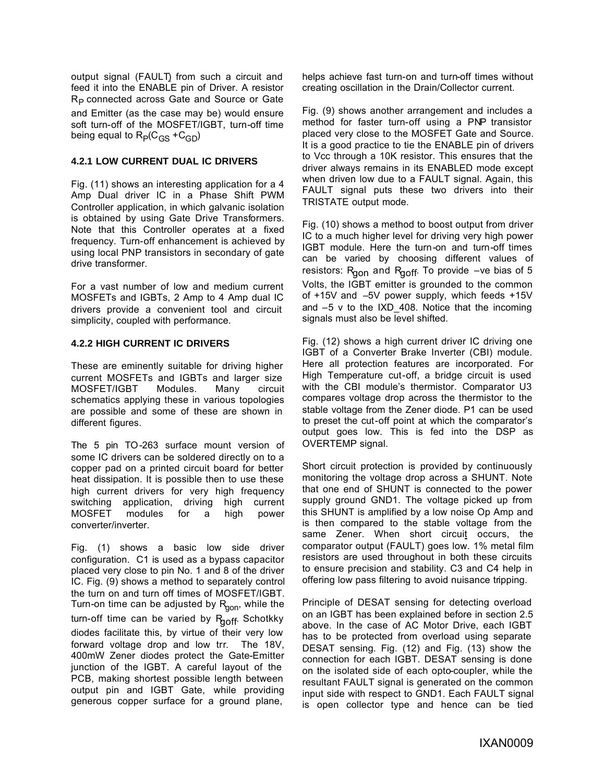output signal (FAULT) from such a circuit and feed it into the ENABLE pin of Driver. A resistor R<sub>P</sub> connected across Gate and Source or Gate and Emitter (as the case may be) would ensure soft turn-off of the MOSFET/IGBT, turn-off time being equal to  ${\sf R}_{{\sf P}}({\sf C}_{\text{GS}}$  + ${\sf C}_{\text{GD}}$ )

#### **4.2.1 LOW CURRENT DUAL IC DRIVERS**

Fig. (11) shows an interesting application for a 4 Amp Dual driver IC in a Phase Shift PWM Controller application, in which galvanic isolation is obtained by using Gate Drive Transformers. Note that this Controller operates at a fixed frequency. Turn-off enhancement is achieved by using local PNP transistors in secondary of gate drive transformer.

For a vast number of low and medium current MOSFETs and IGBTs, 2 Amp to 4 Amp dual IC drivers provide a convenient tool and circuit simplicity, coupled with performance.

#### **4.2.2 HIGH CURRENT IC DRIVERS**

These are eminently suitable for driving higher current MOSFETs and IGBTs and larger size MOSFET/IGBT Modules. Many circuit schematics applying these in various topologies are possible and some of these are shown in different figures.

The 5 pin TO-263 surface mount version of some IC drivers can be soldered directly on to a copper pad on a printed circuit board for better heat dissipation. It is possible then to use these high current drivers for very high frequency switching application, driving high current MOSFET modules for a high power converter/inverter.

Fig. (1) shows a basic low side driver configuration. C1 is used as a bypass capacitor placed very close to pin No. 1 and 8 of the driver IC. Fig. (9) shows a method to separately control the turn on and turn off times of MOSFET/IGBT. Turn-on time can be adjusted by  $R_{\text{qon}}$ , while the turn-off time can be varied by Rgoff. Schotkky diodes facilitate this, by virtue of their very low forward voltage drop and low trr. The 18V, 400mW Zener diodes protect the Gate-Emitter junction of the IGBT. A careful layout of the PCB, making shortest possible length between output pin and IGBT Gate, while providing generous copper surface for a ground plane,

helps achieve fast turn-on and turn-off times without creating oscillation in the Drain/Collector current.

Fig. (9) shows another arrangement and includes a method for faster turn-off using a PNP transistor placed very close to the MOSFET Gate and Source. It is a good practice to tie the ENABLE pin of drivers to Vcc through a 10K resistor. This ensures that the driver always remains in its ENABLED mode except when driven low due to a FAULT signal. Again, this FAULT signal puts these two drivers into their TRISTATE output mode.

Fig. (10) shows a method to boost output from driver IC to a much higher level for driving very high power IGBT module. Here the turn-on and turn-off times can be varied by choosing different values of resistors:  $R_{gon}$  and  $R_{goff}$ . To provide  $-ve$  bias of 5 Volts, the IGBT emitter is grounded to the common of +15V and –5V power supply, which feeds +15V and  $-5$  v to the IXD 408. Notice that the incoming signals must also be level shifted.

Fig. (12) shows a high current driver IC driving one IGBT of a Converter Brake Inverter (CBI) module. Here all protection features are incorporated. For High Temperature cut-off, a bridge circuit is used with the CBI module's thermistor. Comparator U3 compares voltage drop across the thermistor to the stable voltage from the Zener diode. P1 can be used to preset the cut-off point at which the comparator's output goes low. This is fed into the DSP as OVERTEMP signal.

Short circuit protection is provided by continuously monitoring the voltage drop across a SHUNT. Note that one end of SHUNT is connected to the power supply ground GND1. The voltage picked up from this SHUNT is amplified by a low noise Op Amp and is then compared to the stable voltage from the same Zener. When short circuit occurs, the comparator output (FAULT) goes low. 1% metal film resistors are used throughout in both these circuits to ensure precision and stability. C3 and C4 help in offering low pass filtering to avoid nuisance tripping.

Principle of DESAT sensing for detecting overload on an IGBT has been explained before in section 2.5 above. In the case of AC Motor Drive, each IGBT has to be protected from overload using separate DESAT sensing. Fig. (12) and Fig. (13) show the connection for each IGBT. DESAT sensing is done on the isolated side of each opto-coupler, while the resultant FAULT signal is generated on the common input side with respect to GND1. Each FAULT signal is open collector type and hence can be tied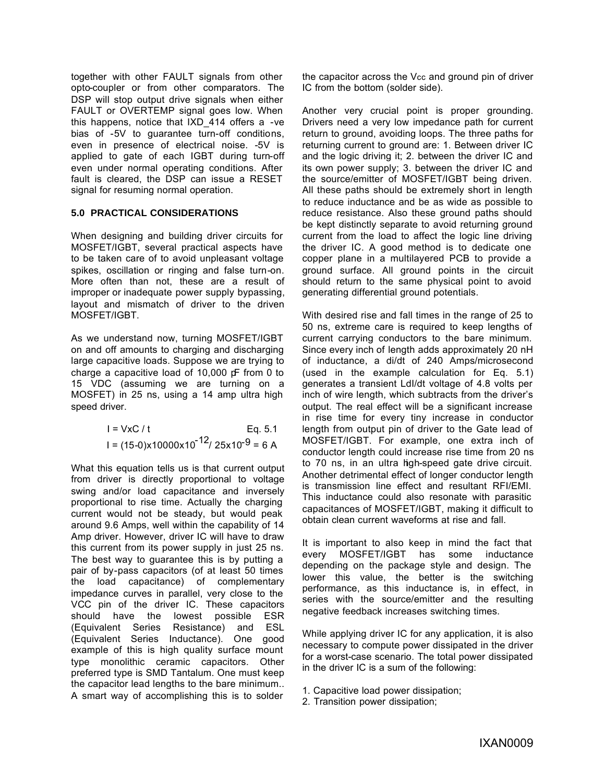together with other FAULT signals from other opto-coupler or from other comparators. The DSP will stop output drive signals when either FAULT or OVERTEMP signal goes low. When this happens, notice that IXD\_414 offers a -ve bias of -5V to guarantee turn-off conditions, even in presence of electrical noise. -5V is applied to gate of each IGBT during turn-off even under normal operating conditions. After fault is cleared, the DSP can issue a RESET signal for resuming normal operation.

#### **5.0 PRACTICAL CONSIDERATIONS**

When designing and building driver circuits for MOSFET/IGBT, several practical aspects have to be taken care of to avoid unpleasant voltage spikes, oscillation or ringing and false turn-on. More often than not, these are a result of improper or inadequate power supply bypassing, layout and mismatch of driver to the driven MOSFET/IGBT.

As we understand now, turning MOSFET/IGBT on and off amounts to charging and discharging large capacitive loads. Suppose we are trying to charge a capacitive load of 10,000 pF from 0 to 15 VDC (assuming we are turning on a MOSFET) in 25 ns, using a 14 amp ultra high speed driver.

$$
I = VxC / t
$$
 Eq. 5.1  
Eq. 5.1  
Eq. 6.1  
Eq. 6.1

What this equation tells us is that current output from driver is directly proportional to voltage swing and/or load capacitance and inversely proportional to rise time. Actually the charging current would not be steady, but would peak around 9.6 Amps, well within the capability of 14 Amp driver. However, driver IC will have to draw this current from its power supply in just 25 ns. The best way to guarantee this is by putting a pair of by-pass capacitors (of at least 50 times the load capacitance) of complementary impedance curves in parallel, very close to the VCC pin of the driver IC. These capacitors should have the lowest possible ESR (Equivalent Series Resistance) and ESL (Equivalent Series Inductance). One good example of this is high quality surface mount type monolithic ceramic capacitors. Other preferred type is SMD Tantalum. One must keep the capacitor lead lengths to the bare minimum.. A smart way of accomplishing this is to solder

the capacitor across the Vcc and ground pin of driver IC from the bottom (solder side).

Another very crucial point is proper grounding. Drivers need a very low impedance path for current return to ground, avoiding loops. The three paths for returning current to ground are: 1. Between driver IC and the logic driving it; 2. between the driver IC and its own power supply; 3. between the driver IC and the source/emitter of MOSFET/IGBT being driven. All these paths should be extremely short in length to reduce inductance and be as wide as possible to reduce resistance. Also these ground paths should be kept distinctly separate to avoid returning ground current from the load to affect the logic line driving the driver IC. A good method is to dedicate one copper plane in a multilayered PCB to provide a ground surface. All ground points in the circuit should return to the same physical point to avoid generating differential ground potentials.

With desired rise and fall times in the range of 25 to 50 ns, extreme care is required to keep lengths of current carrying conductors to the bare minimum. Since every inch of length adds approximately 20 nH of inductance, a di/dt of 240 Amps/microsecond (used in the example calculation for Eq. 5.1) generates a transient LdI/dt voltage of 4.8 volts per inch of wire length, which subtracts from the driver's output. The real effect will be a significant increase in rise time for every tiny increase in conductor length from output pin of driver to the Gate lead of MOSFET/IGBT. For example, one extra inch of conductor length could increase rise time from 20 ns to 70 ns, in an ultra high-speed gate drive circuit. Another detrimental effect of longer conductor length is transmission line effect and resultant RFI/EMI. This inductance could also resonate with parasitic capacitances of MOSFET/IGBT, making it difficult to obtain clean current waveforms at rise and fall.

It is important to also keep in mind the fact that every MOSFET/IGBT has some inductance depending on the package style and design. The lower this value, the better is the switching performance, as this inductance is, in effect, in series with the source/emitter and the resulting negative feedback increases switching times.

While applying driver IC for any application, it is also necessary to compute power dissipated in the driver for a worst-case scenario. The total power dissipated in the driver IC is a sum of the following:

- 1. Capacitive load power dissipation;
- 2. Transition power dissipation;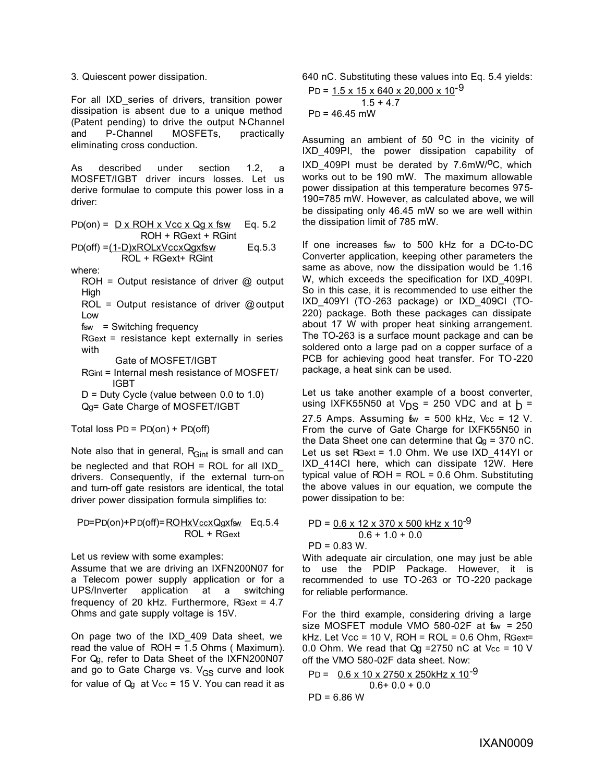3. Quiescent power dissipation.

For all IXD\_series of drivers, transition power dissipation is absent due to a unique method (Patent pending) to drive the output N-Channel and P-Channel MOSFETs, practically eliminating cross conduction.

As described under section 1.2, a MOSFET/IGBT driver incurs losses. Let us derive formulae to compute this power loss in a driver:

$$
PD(on) = \frac{D \times ROH \times Vcc \times Qg \times fsw}{ROH + RGext + RGint}
$$

$$
PD(off) = \underbrace{1-D)xROLxVccxQgxfsw}_{\text{ROL + RGext + RGint} \qquad Eq.5.3
$$

where:

ROH = Output resistance of driver  $@$  output **High** 

ROL = Output resistance of driver @ output Low

fsw = Switching frequency

RGext = resistance kept externally in series with

Gate of MOSFET/IGBT

- RGint = Internal mesh resistance of MOSFET/ IGBT
- D = Duty Cycle (value between 0.0 to 1.0) Qg= Gate Charge of MOSFET/IGBT

Total loss  $PD = PD(0n) + PD(0ff)$ 

Note also that in general,  $R<sub>Gint</sub>$  is small and can be neglected and that  $ROH = ROL$  for all  $IXD$ drivers. Consequently, if the external turn-on and turn-off gate resistors are identical, the total driver power dissipation formula simplifies to:

PD=PD(on)+PD(off)=ROHxVccxQgxfsw Eq.5.4 ROL + RGext

Let us review with some examples:

Assume that we are driving an IXFN200N07 for a Telecom power supply application or for a UPS/Inverter application at a switching frequency of 20 kHz. Furthermore, RGext = 4.7 Ohms and gate supply voltage is 15V.

On page two of the IXD\_409 Data sheet, we read the value of ROH = 1.5 Ohms ( Maximum). For Qg, refer to Data Sheet of the IXFN200N07 and go to Gate Charge vs.  $V_{GS}$  curve and look for value of  $Q<sub>g</sub>$  at Vcc = 15 V. You can read it as 640 nC. Substituting these values into Eq. 5.4 yields:  $PD = 1.5 \times 15 \times 640 \times 20,000 \times 10^{-9}$ 

$$
PD = \frac{1.5 \times 15 \times 640 \times 20,000 \times 10}{1.5 + 4.7}
$$
  
PD = 46.45 mW

Assuming an ambient of 50  $^{\circ}$ C in the vicinity of IXD\_409PI, the power dissipation capability of  $IXD_409P1$  must be derated by 7.6mW/<sup>O</sup>C, which works out to be 190 mW. The maximum allowable power dissipation at this temperature becomes 975- 190=785 mW. However, as calculated above, we will be dissipating only 46.45 mW so we are well within the dissipation limit of 785 mW.

If one increases fsw to 500 kHz for a DC-to-DC Converter application, keeping other parameters the same as above, now the dissipation would be 1.16 W, which exceeds the specification for IXD\_409PI. So in this case, it is recommended to use either the IXD\_409YI (TO-263 package) or IXD\_409CI (TO-220) package. Both these packages can dissipate about 17 W with proper heat sinking arrangement. The TO-263 is a surface mount package and can be soldered onto a large pad on a copper surface of a PCB for achieving good heat transfer. For TO -220 package, a heat sink can be used.

Let us take another example of a boost converter, using IXFK55N50 at  $V_{DS}$  = 250 VDC and at  $h =$ 27.5 Amps. Assuming  $\text{f}_{\text{W}}$  = 500 kHz, Vcc = 12 V. From the curve of Gate Charge for IXFK55N50 in the Data Sheet one can determine that  $Q_g = 370$  nC. Let us set RGext = 1.0 Ohm. We use IXD 414YI or IXD\_414CI here, which can dissipate 12W. Here typical value of  $ROH = ROL = 0.6 Ohm$ . Substituting the above values in our equation, we compute the power dissipation to be:

$$
PD = \underbrace{0.6 \times 12 \times 370 \times 500 \text{ kHz} \times 10^{-9}}_{0.6 + 1.0 + 0.0}
$$
\n
$$
PD = 0.83 W.
$$

With adequate air circulation, one may just be able to use the PDIP Package. However, it is recommended to use TO-263 or TO-220 package for reliable performance.

For the third example, considering driving a large size MOSFET module VMO  $580-02F$  at  $f_{sw} = 250$ kHz. Let Vcc = 10 V, ROH =  $ROL = 0.6$  Ohm, RGext= 0.0 Ohm. We read that  $Qq = 2750$  nC at Vcc = 10 V off the VMO 580-02F data sheet. Now:

$$
PD = \underbrace{0.6 \times 10 \times 2750 \times 250 \text{kHz} \times 10^{-9}}_{0.6 + 0.0 + 0.0}
$$
\n
$$
PD = 6.86 \text{ W}
$$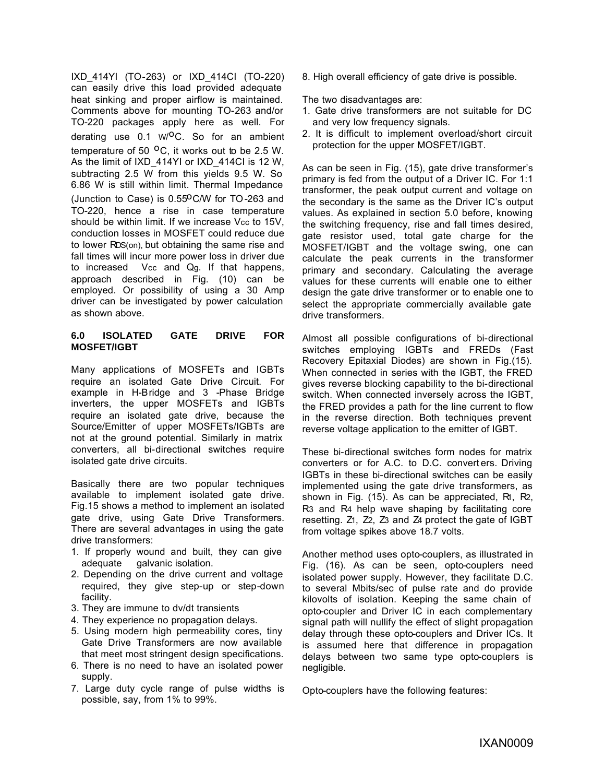IXD\_414YI (TO-263) or IXD\_414CI (TO-220) can easily drive this load provided adequate heat sinking and proper airflow is maintained. Comments above for mounting TO-263 and/or TO-220 packages apply here as well. For derating use 0.1 W/<sup>O</sup>C. So for an ambient temperature of 50  $^{\circ}$ C, it works out to be 2.5 W. As the limit of IXD\_414YI or IXD\_414CI is 12 W, subtracting 2.5 W from this yields 9.5 W. So 6.86 W is still within limit. Thermal Impedance (Junction to Case) is  $0.55^{\circ}$ C/W for TO-263 and TO-220, hence a rise in case temperature should be within limit. If we increase Vcc to 15V. conduction losses in MOSFET could reduce due to lower RDS(on), but obtaining the same rise and fall times will incur more power loss in driver due to increased Vcc and Qg. If that happens, approach described in Fig. (10) can be employed. Or possibility of using a 30 Amp driver can be investigated by power calculation as shown above.

#### **6.0 ISOLATED GATE DRIVE FOR MOSFET/IGBT**

Many applications of MOSFETs and IGBTs require an isolated Gate Drive Circuit. For example in H-Bridge and 3 -Phase Bridge inverters, the upper MOSFETs and IGBTs require an isolated gate drive, because the Source/Emitter of upper MOSFETs/IGBTs are not at the ground potential. Similarly in matrix converters, all bi-directional switches require isolated gate drive circuits.

Basically there are two popular techniques available to implement isolated gate drive. Fig.15 shows a method to implement an isolated gate drive, using Gate Drive Transformers. There are several advantages in using the gate drive transformers:

- 1. If properly wound and built, they can give adequate galvanic isolation.
- 2. Depending on the drive current and voltage required, they give step-up or step-down facility.
- 3. They are immune to dv/dt transients
- 4. They experience no propagation delays.
- 5. Using modern high permeability cores, tiny Gate Drive Transformers are now available that meet most stringent design specifications.
- 6. There is no need to have an isolated power supply.
- 7. Large duty cycle range of pulse widths is possible, say, from 1% to 99%.

8. High overall efficiency of gate drive is possible.

The two disadvantages are:

- 1. Gate drive transformers are not suitable for DC and very low frequency signals.
- 2. It is difficult to implement overload/short circuit protection for the upper MOSFET/IGBT.

As can be seen in Fig. (15), gate drive transformer's primary is fed from the output of a Driver IC. For 1:1 transformer, the peak output current and voltage on the secondary is the same as the Driver IC's output values. As explained in section 5.0 before, knowing the switching frequency, rise and fall times desired, gate resistor used, total gate charge for the MOSFET/IGBT and the voltage swing, one can calculate the peak currents in the transformer primary and secondary. Calculating the average values for these currents will enable one to either design the gate drive transformer or to enable one to select the appropriate commercially available gate drive transformers.

Almost all possible configurations of bi-directional switches employing IGBTs and FREDs (Fast Recovery Epitaxial Diodes) are shown in Fig.(15). When connected in series with the IGBT, the FRED gives reverse blocking capability to the bi-directional switch. When connected inversely across the IGBT, the FRED provides a path for the line current to flow in the reverse direction. Both techniques prevent reverse voltage application to the emitter of IGBT.

These bi-directional switches form nodes for matrix converters or for A.C. to D.C. convert ers. Driving IGBTs in these bi-directional switches can be easily implemented using the gate drive transformers, as shown in Fig. (15). As can be appreciated, R1, R2, R3 and R4 help wave shaping by facilitating core resetting. Z1, Z2, Z3 and Z4 protect the gate of IGBT from voltage spikes above 18.7 volts.

Another method uses opto-couplers, as illustrated in Fig. (16). As can be seen, opto-couplers need isolated power supply. However, they facilitate D.C. to several Mbits/sec of pulse rate and do provide kilovolts of isolation. Keeping the same chain of opto-coupler and Driver IC in each complementary signal path will nullify the effect of slight propagation delay through these opto-couplers and Driver ICs. It is assumed here that difference in propagation delays between two same type opto-couplers is negligible.

Opto-couplers have the following features: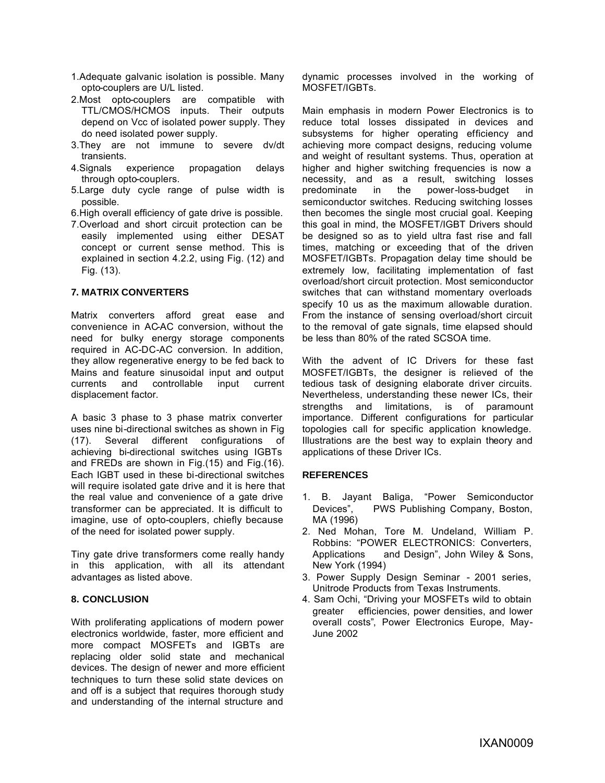- 1.Adequate galvanic isolation is possible. Many opto-couplers are U/L listed.
- 2.Most opto-couplers are compatible with TTL/CMOS/HCMOS inputs. Their outputs depend on Vcc of isolated power supply. They do need isolated power supply.
- 3.They are not immune to severe dv/dt transients.
- 4.Signals experience propagation delays through opto-couplers.
- 5.Large duty cycle range of pulse width is possible.
- 6.High overall efficiency of gate drive is possible.
- 7.Overload and short circuit protection can be easily implemented using either DESAT concept or current sense method. This is explained in section 4.2.2, using Fig. (12) and Fig. (13).

#### **7. MATRIX CONVERTERS**

Matrix converters afford great ease and convenience in AC-AC conversion, without the need for bulky energy storage components required in AC-DC-AC conversion. In addition, they allow regenerative energy to be fed back to Mains and feature sinusoidal input and output currents and controllable input current displacement factor.

A basic 3 phase to 3 phase matrix converter uses nine bi-directional switches as shown in Fig (17). Several different configurations of achieving bi-directional switches using IGBTs and FREDs are shown in Fig.(15) and Fig.(16). Each IGBT used in these bi-directional switches will require isolated gate drive and it is here that the real value and convenience of a gate drive transformer can be appreciated. It is difficult to imagine, use of opto-couplers, chiefly because of the need for isolated power supply.

Tiny gate drive transformers come really handy in this application, with all its attendant advantages as listed above.

#### **8. CONCLUSION**

With proliferating applications of modern power electronics worldwide, faster, more efficient and more compact MOSFETs and IGBTs are replacing older solid state and mechanical devices. The design of newer and more efficient techniques to turn these solid state devices on and off is a subject that requires thorough study and understanding of the internal structure and

dynamic processes involved in the working of MOSFET/IGBTs.

Main emphasis in modern Power Electronics is to reduce total losses dissipated in devices and subsystems for higher operating efficiency and achieving more compact designs, reducing volume and weight of resultant systems. Thus, operation at higher and higher switching frequencies is now a necessity, and as a result, switching losses predominate in the power-loss-budget in semiconductor switches. Reducing switching losses then becomes the single most crucial goal. Keeping this goal in mind, the MOSFET/IGBT Drivers should be designed so as to yield ultra fast rise and fall times, matching or exceeding that of the driven MOSFET/IGBTs. Propagation delay time should be extremely low, facilitating implementation of fast overload/short circuit protection. Most semiconductor switches that can withstand momentary overloads specify 10 us as the maximum allowable duration. From the instance of sensing overload/short circuit to the removal of gate signals, time elapsed should be less than 80% of the rated SCSOA time.

With the advent of IC Drivers for these fast MOSFET/IGBTs, the designer is relieved of the tedious task of designing elaborate driver circuits. Nevertheless, understanding these newer ICs, their strengths and limitations, is of paramount importance. Different configurations for particular topologies call for specific application knowledge. Illustrations are the best way to explain theory and applications of these Driver ICs.

#### **REFERENCES**

- 1. B. Jayant Baliga, "Power Semiconductor Devices", PWS Publishing Company, Boston, MA (1996)
- 2. Ned Mohan, Tore M. Undeland, William P. Robbins: "POWER ELECTRONICS: Converters, Applications and Design", John Wiley & Sons, New York (1994)
- 3. Power Supply Design Seminar 2001 series, Unitrode Products from Texas Instruments.
- 4. Sam Ochi, "Driving your MOSFETs wild to obtain greater efficiencies, power densities, and lower overall costs", Power Electronics Europe, May-June 2002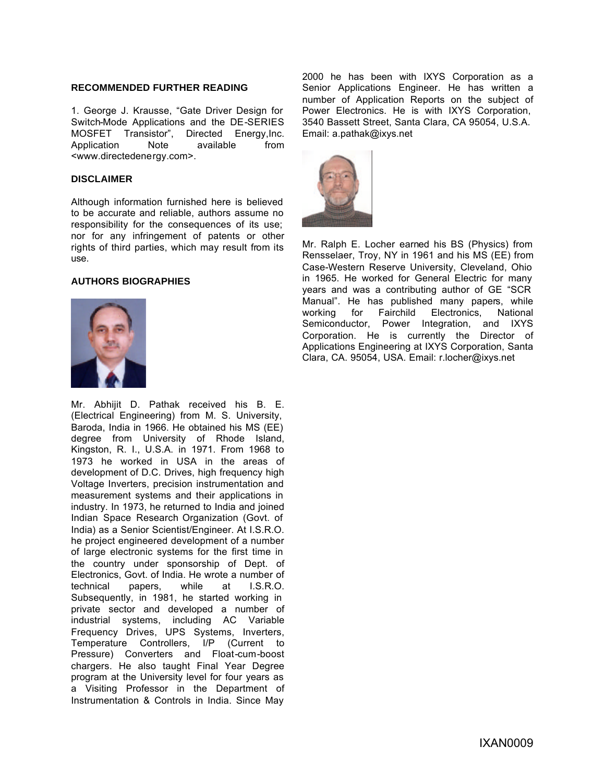#### **RECOMMENDED FURTHER READING**

1. George J. Krausse, "Gate Driver Design for Switch-Mode Applications and the DE-SERIES MOSFET Transistor", Directed Energy,Inc. Application Note available from <www.directedenergy.com>.

#### **DISCLAIMER**

Although information furnished here is believed to be accurate and reliable, authors assume no responsibility for the consequences of its use; nor for any infringement of patents or other rights of third parties, which may result from its use.

#### **AUTHORS BIOGRAPHIES**



Mr. Abhijit D. Pathak received his B. E. (Electrical Engineering) from M. S. University, Baroda, India in 1966. He obtained his MS (EE) degree from University of Rhode Island, Kingston, R. I., U.S.A. in 1971. From 1968 to 1973 he worked in USA in the areas of development of D.C. Drives, high frequency high Voltage Inverters, precision instrumentation and measurement systems and their applications in industry. In 1973, he returned to India and joined Indian Space Research Organization (Govt. of India) as a Senior Scientist/Engineer. At I.S.R.O. he project engineered development of a number of large electronic systems for the first time in the country under sponsorship of Dept. of Electronics, Govt. of India. He wrote a number of technical papers. while at I.S.R.O. technical papers, while at Subsequently, in 1981, he started working in private sector and developed a number of industrial systems, including AC Variable Frequency Drives, UPS Systems, Inverters, Temperature Controllers, I/P (Current to Pressure) Converters and Float-cum-boost chargers. He also taught Final Year Degree program at the University level for four years as a Visiting Professor in the Department of Instrumentation & Controls in India. Since May

2000 he has been with IXYS Corporation as a Senior Applications Engineer. He has written a number of Application Reports on the subject of Power Electronics. He is with IXYS Corporation, 3540 Bassett Street, Santa Clara, CA 95054, U.S.A. Email: a.pathak@ixys.net



Mr. Ralph E. Locher earned his BS (Physics) from Rensselaer, Troy, NY in 1961 and his MS (EE) from Case-Western Reserve University, Cleveland, Ohio in 1965. He worked for General Electric for many years and was a contributing author of GE "SCR Manual". He has published many papers, while working for Fairchild Electronics, National Semiconductor, Power Integration, and IXYS Corporation. He is currently the Director of Applications Engineering at IXYS Corporation, Santa Clara, CA. 95054, USA. Email: r.locher@ixys.net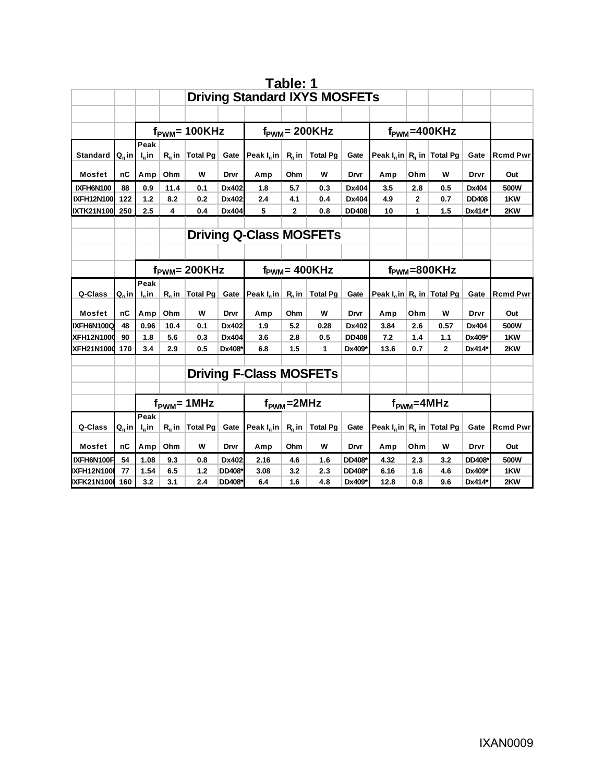|                   |                     |                                |                                      |                                 |        |                                        | Table: 1                  |                 |                           |                                                     |     |              |              |                 |
|-------------------|---------------------|--------------------------------|--------------------------------------|---------------------------------|--------|----------------------------------------|---------------------------|-----------------|---------------------------|-----------------------------------------------------|-----|--------------|--------------|-----------------|
|                   |                     |                                | <b>Driving Standard IXYS MOSFETs</b> |                                 |        |                                        |                           |                 |                           |                                                     |     |              |              |                 |
|                   |                     |                                |                                      |                                 |        |                                        |                           |                 |                           |                                                     |     |              |              |                 |
|                   |                     |                                |                                      | $f_{\text{PWM}}$ = 100KHz       |        |                                        | $f_{\text{PWM}} = 200KHz$ |                 | $f_{\text{PWM}} = 400KHz$ |                                                     |     |              |              |                 |
|                   |                     | Peak                           |                                      |                                 |        |                                        |                           |                 |                           |                                                     |     |              |              |                 |
| <b>Standard</b>   | $Q_{\alpha}$ in     | $I_{\alpha}$ in                | $R_a$ in                             | Total Pg                        | Gate   | Peak $I_{\alpha}$ in R <sub>a</sub> in |                           | <b>Total Pg</b> | Gate                      | Peak $I_q$ in $R_q$ in Total Pg                     |     |              | Gate         | <b>Rcmd Pwr</b> |
| Mosfet            | nС                  | Amp                            | Ohm                                  | W                               | Drvr   | Amp                                    | Ohm                       | W               | Drvr                      | Amp                                                 | Ohm | w            | Drvr         | Out             |
| IXFH6N100         | 88                  | 0.9                            | 11.4                                 | 0.1                             | Dx402  | 1.8                                    | 5.7                       | 0.3             | Dx404                     | 3.5                                                 | 2.8 | 0.5          | Dx404        | 500W            |
| <b>IXFH12N100</b> | 122                 | $1.2$                          | 8.2                                  | 0.2                             | Dx402  | 2.4                                    | 4.1                       | 0.4             | Dx404                     | 4.9                                                 | 2   | 0.7          | <b>DD408</b> | 1KW             |
| <b>IXTK21N100</b> | 250                 | 2.5                            | 4                                    | 0.4                             | Dx404  | 5                                      | 2                         | 0.8             | <b>DD408</b>              | 10                                                  | 1   | 1.5          | Dx414*       | 2KW             |
|                   |                     |                                |                                      |                                 |        |                                        |                           |                 |                           |                                                     |     |              |              |                 |
|                   |                     | <b>Driving Q-Class MOSFETs</b> |                                      |                                 |        |                                        |                           |                 |                           |                                                     |     |              |              |                 |
|                   |                     |                                |                                      |                                 |        |                                        |                           |                 |                           |                                                     |     |              |              |                 |
|                   |                     |                                |                                      | $f_{\text{PWM}} = 200KHz$       |        |                                        | $f_{\text{PWM}} = 400KHz$ |                 | $f_{\text{PWM}} = 800KHz$ |                                                     |     |              |              |                 |
|                   |                     | Peak                           |                                      |                                 |        |                                        |                           |                 |                           |                                                     |     |              |              |                 |
| Q-Class           | $Q_{\alpha}$ in $ $ | $I_{\alpha}$ in                | $R_{\alpha}$ in                      | Total $Pg$                      | Gate   | Peak $I_n$ in R <sub>n</sub> in        |                           | <b>Total Pg</b> | Gate                      | Peak $I_n$ in R <sub>n</sub> in Total Pg            |     |              | Gate         | <b>Rcmd Pwr</b> |
| <b>Mosfet</b>     | пC                  | Amp                            | Ohm                                  | W                               | Drvr   | Amp                                    | Ohm                       | W               | Drvr                      | Amp                                                 | Ohm | W            | Drvr         | Out             |
| IXFH6N100Q        | 48                  | 0.96                           | 10.4                                 | 0.1                             | Dx402  | 1.9                                    | 5.2                       | 0.28            | Dx402                     | 3.84                                                | 2.6 | 0.57         | Dx404        | 500W            |
| <b>XFH12N1000</b> | 90                  | 1.8                            | 5.6                                  | 0.3                             | Dx404  | 3.6                                    | 2.8                       | 0.5             | <b>DD408</b>              | 7.2                                                 | 1.4 | 1.1          | Dx409*       | 1KW             |
| <b>XFH21N1000</b> | 170                 | 3.4                            | 2.9                                  | 0.5                             | Dx408* | 6.8                                    | 1.5                       | 1               | Dx409*                    | 13.6                                                | 0.7 | $\mathbf{2}$ | Dx414*       | 2KW             |
|                   |                     |                                |                                      |                                 |        |                                        |                           |                 |                           |                                                     |     |              |              |                 |
|                   |                     |                                |                                      |                                 |        | <b>Driving F-Class MOSFETs</b>         |                           |                 |                           |                                                     |     |              |              |                 |
|                   |                     |                                |                                      |                                 |        |                                        |                           |                 |                           |                                                     |     |              |              |                 |
|                   |                     |                                |                                      | $f_{\text{PWM}} = 1 \text{MHz}$ |        | $f_{PWM} = 2MHz$                       |                           |                 | $f_{\text{PWM}} = 4MHz$   |                                                     |     |              |              |                 |
|                   |                     | Peak                           |                                      |                                 |        |                                        |                           |                 |                           |                                                     |     |              |              |                 |
| Q-Class           | $Q_{\alpha}$ in     | $I_{\alpha}$ in                | $R_{\alpha}$ in                      | $\vert$ Total Pg $\vert$        | Gate   | Peak $I_n$ in R <sub>n</sub> in        |                           | <b>Total Pg</b> | Gate                      | Peak $I_{\alpha}$ in   R <sub>a</sub> in   Total Pg |     |              | Gate         | <b>Rcmd Pwr</b> |
| <b>Mosfet</b>     | nC                  | Amp                            | Ohm                                  | w                               | Drvr   | Amp                                    | Ohm                       | W               | Drvr                      | Amp                                                 | Ohm | w            | Drvr         | Out             |
| IXFH6N100F        | 54                  | 1.08                           | 9.3                                  | 0.8                             | Dx402  | 2.16                                   | 4.6                       | 1.6             | DD408*                    | 4.32                                                | 2.3 | 3.2          | DD408*       | 500W            |
| <b>IXFH12N100</b> | 77                  | 1.54                           | 6.5                                  | 1.2                             | DD408* | 3.08                                   | 3.2                       | 2.3             | DD408*                    | 6.16                                                | 1.6 | 4.6          | Dx409*       | 1KW             |
| IXFK21N100I       | 160                 | 3.2                            | 3.1                                  | 2.4                             | DD408* | 6.4                                    | 1.6                       | 4.8             | Dx409*                    | 12.8                                                | 0.8 | 9.6          | Dx414*       | 2KW             |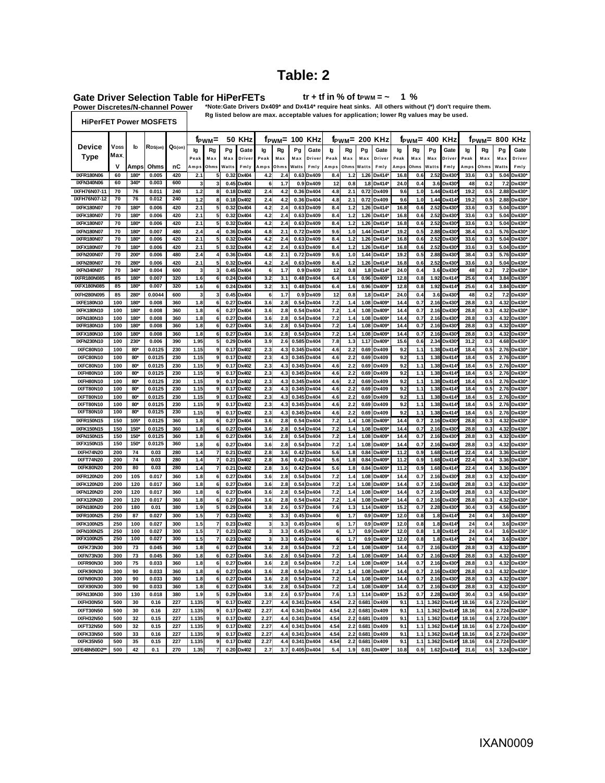# **Table: 2**

Gate Driver Selection Table for HiPerFETs<br>Power Discretes/N-channel Power \*Note:Gate Drivers Dx

**1 % tr + tf in % of tPWM = ~**

\*Note:Gate Drivers Dx409\* and Dx414\* require heat sinks. All others without (\*) don't require them.

**HiPerFET Power MOSFETS**

**VDSS** 

**50 KHz 100 KHz 200 KHz 400 KHz 800 KHz Ig Rg Pg Gate Ig Rg Pg Gate Ig Rg Pg Gate Ig Rg Pg Gate Ig Rg Pg Gate i**<br>Device VDSS to RDS(on) QG(on) to Red Po Gate to Red Po Gate to Red Po Gate to Red Po Gate to Red Po Gate to Red **Rg listed below are max. acceptable values for application; lower Rg values may be used.**  $\begin{bmatrix} \mathbf{f}_{\mathbf{P}} \mathbf{W} \mathbf{M} = \mathbf{0} \end{bmatrix}$  **f**  $\mathbf{F} \mathbf{W} \mathbf{M} = \begin{bmatrix} \mathbf{F} \mathbf{B} \mathbf{B} \end{bmatrix}$  **From**  $\mathbf{F} \mathbf{B} \mathbf{B}$  **From**  $\mathbf{F} \mathbf{B} \mathbf{B}$ 

| <b>Type</b>                            | Max      |                 |                |            | Peal  | Max                      | Max   | Drive        | Peak                    | Max  | Max   | Driver      | Peak | Max  | Max            | Driver       | Peak | Max   | Max   | Drive | Peak  | Max  | Max   | Driver |
|----------------------------------------|----------|-----------------|----------------|------------|-------|--------------------------|-------|--------------|-------------------------|------|-------|-------------|------|------|----------------|--------------|------|-------|-------|-------|-------|------|-------|--------|
|                                        | ٧        | Amps            | Ohms           | nC         | Amps  | Ohms                     | Watts | Fmly         | Amps                    | Ohms | Watts | Fmly        | Amps | Ohms | Watts          | Fmly         | Amps | Ohms  | Watts | Fmlv  | Amps  | Ohms | Watts | Fmlv   |
|                                        |          |                 |                |            |       |                          |       |              |                         |      |       |             |      |      |                |              |      |       |       |       |       |      |       |        |
| <b>IXFR180N06</b><br><b>IXFN340N06</b> | 60<br>60 | 180*<br>340*    | 0.005<br>0.003 | 420<br>600 | 2.1   | 5                        | 0.32  | Dx404        | 4.2                     | 2.4  |       | 0.63 Dx409  | 8.4  | 1.2  | 1.26           | Dx414*       | 16.8 | 0.6   | 2.52  | Dx430 | 33.6  | 0.3  | 5.04  | Dx430* |
|                                        |          |                 |                |            | 3     | 3                        | 0.45  | Dx404        | 6                       | 1.7  |       | 0.9 Dx409   | 12   | 0.8  | 1.8            | Dx414*       | 24.0 | 0.4   | 3.6   | Dx430 | 48    | 0.2  | 7.2   | Dx430* |
| IXFH76N07-11                           | 70       | 76              | 0.011          | 240        | 1.2   | 8                        | 0.18  | Dx402        | 2.4                     | 4.2  |       | 0.36 Dx404  | 4.8  | 2.1  | 0.72           | Dx409        | 9.6  | 1.0   | 1.44  | Dx414 | 19.2  | 0.5  | 2.88  | Dx430  |
| IXFH76N07-12                           | 70       | 76              | 0.012          | 240        | 1.2   | 8                        | 0.18  | Dx402        | 2.4                     | 4.2  |       | 0.36 Dx404  | 4.8  | 2.1  | 0.72           | Dx409        | 9.6  | 1.0   | 1.44  | Dx414 | 19.2  | 0.5  | 2.88  | Dx430* |
| IXFK180N07                             | 70       | 180*            | 0.006          | 420        | 2.1   | 5                        | 0.32  | Dx404        | 4.2                     | 2.4  |       | 0.63 Dx409  | 8.4  | 1.2  | 1.26           | Dx414        | 16.8 | 0.6   | 2.52  | Dx430 | 33.6  | 0.3  | 5.04  | Dx430  |
| <b>IXFK180N07</b>                      | 70       | 180*            | 0.006          | 420        | 2.1   | 5                        | 0.32  | Dx404        | 4.2                     | 2.4  |       | 0.63 Dx409  | 8.4  | 1.2  | 1.26           | Dx414        | 16.8 | 0.6   | 2.52  | Dx430 | 33.6  | 0.3  | 5.04  | Dx430* |
| <b>IXFK180N07</b>                      | 70       | 180*            | 0.006          | 420        | 2.1   | 5                        | 0.32  | Dx404        | 4.2                     | 2.4  |       | 0.63 Dx409  | 8.4  | 1.2  | 1.26           | Dx414        | 16.8 | 0.6   | 2.52  | Dx430 | 33.6  | 0.3  | 5.04  | Dx430* |
| <b>IXFN180N07</b>                      | 70       | 180             | 0.007          | 480        | 2.4   | $\Delta$                 | 0.36  | Dx404        | 4.8                     | 2.1  |       | 0.72 Dx409  | 9.6  | 1.0  | 144            | Dx414        | 19.2 | 0.5   | 2.88  | Dx430 | 38    | 0.3  | 5.76  | Dx430° |
| <b>IXFR180N07</b>                      | 70       | 180*            | 0.006          | 420        | 2.1   | 5                        | 0.32  | Dx404        | 4.2                     | 2.4  |       | 0.63 Dx409  | 8.4  | 1.2  | 1.26           | Dx414        | 16.8 | 0.6   | 2.52  | Dx430 | 33.6  | 0.3  | 5.04  | Dx430' |
| <b>IXFX180N07</b>                      | 70       | 180*            | 0.006          | 420        | 2.1   | 5                        | 0.32  | Dx404        | 4.2                     | 2.4  |       | 0.63 Dx409  | 8.4  | 1.2  | 1.26           | Dx414        | 16.8 | 0.6   | 2.52  | Dx430 | 33.6  | 0.3  | 5.04  | Dx430* |
| <b>IXFN200N07</b>                      | 70       | 200*            | 0.006          | 480        | 2.4   | $\overline{4}$           | 0.36  | Dx404        | 4.8                     | 2.1  |       | 0.72 Dx409  | 9.6  | 1.0  | 1.44           | Dx414        | 19.2 | 0.5   | 2.88  | Dx430 | 38.4  | 0.3  | 5.76  | Dx430* |
| <b>IXFN280N07</b>                      | 70       | 280*            | 0.006          | 420        | 2.1   | 5                        | 0.32  | Dx404        | 4.2                     | 2.4  |       | 0.63 Dx409  | 8.4  | 1.2  | 1.26           | Dx414        | 16.8 | 0.6   | 2.52  | Dx430 | 33.6  | 0.3  | 5.04  | Dx430* |
| <b>IXFN340N07</b>                      | 70       | 340*            | 0.004          | 600        | 3     | 3                        | 0.45  | Dx404        | 6                       | 1.7  |       | $0.9$ Dx409 | 12   | 0.8  | 1.8            | Dx414        | 24.0 | 0.4   | 3.6   | Dx430 | 48    | 0.2  | 7.2   | Dx430* |
| <b>IXFR180N085</b>                     |          | 180             | 0.007          | 320        | 1.6   | $\overline{\phantom{a}}$ | 0.24  | <b>Dx404</b> |                         | 3.1  |       |             | 6.4  | 1.6  | 0.96           | Dx409        |      | 0.8   |       |       | 25.6  |      | 3.84  | Dx430  |
|                                        | 85       |                 |                |            |       |                          |       |              | 3.2                     |      |       | 0.48 Dx404  |      |      |                |              | 12.8 |       | 1.92  | Dx414 |       | 0.4  |       |        |
| <b>IXFX180N085</b>                     | 85       | 180*            | 0.007          | 320        | 1.6   | 6                        | 0.24  | Dx404        | 3.2                     | 3.1  |       | 0.48 Dx404  | 6.4  | 1.6  | 0.96           | Dx409        | 12.8 | 0.8   | 1.92  | Dx414 | 25.6  | 0.4  | 3.84  | Dx430* |
| <b>IXFH280N095</b>                     | 85       | 280*            | 0.0044         | 600        | 3     | 3                        | 0.45  | Dx404        | 6                       | 1.7  |       | 0.9 Dx409   | 12   | 0.8  | 1.8            | Dx414        | 24.0 | 0.4   | 3.6   | Dx430 | 48    | 0.2  | 7.2   | Dx430* |
| IXFE180N10                             | 100      | 180*            | 0.008          | 360        | 1.8   | 6                        | 0.27  | Dx404        | 3.6                     | 2.8  |       | 0.54 Dx404  | 7.2  | 1.4  | 1.08           | Dx409        | 14.4 | 0.7   | 2.16  | Dx430 | 28.8  | 0.3  | 4.32  | Dx430* |
| <b>IXFK180N10</b>                      | 100      | 180*            | 0.008          | 360        | 1.8   | 6                        | 0.27  | Dx404        | 3.6                     | 2.8  |       | 0.54 Dx404  | 7.2  | 1.4  | 1.08           | Dx409        | 14.4 | 0.7   | 2.16  | Dx430 | 28.8  | 0.3  | 4.32  | Dx430* |
| IXFN180N10                             | 100      | 180             | 0.008          | 360        | 1.8   | 6                        | 0.27  | Dx404        | 3.6                     | 2.8  |       | 0.54 Dx404  | 7.2  | 1.4  | 1.08           | Dx409        | 14.4 | 0.7   | 2.16  | Dx430 | 28.8  | 0.3  | 4.32  | Dx430  |
| IXFR180N10                             | 100      | 180             | 0.008          | 360        | 1.8   | 6                        | 0.27  | Dx404        | 3.6                     | 2.8  |       | 0.54 Dx404  | 7.2  | 1.4  | 1.08           | Dx409        | 14.4 | 0.7   | 2.16  | Dx430 | 28.8  | 0.3  | 4.32  | Dx430* |
| IXFX180N10                             | 100      | 180*            | 0.008          | 360        | 1.8   | 6                        | 0.27  | Dx404        | 3.6                     | 2.8  |       | 0.54 Dx404  | 7.2  | 1.4  | 1.08           | Dx409        | 14.4 | 0.7   | 2.16  | Dx430 | 28.8  | 0.3  | 4.32  | Dx430* |
| IXFN230N10                             | 100      | 230             | 0.006          | 390        | 1.95  | 5                        | 0.29  | Dx404        | 3.9                     | 2.6  |       | 0.585 Dx404 | 7.8  | 1.3  | 1.17           | Dx409        | 15.6 | 0.6   | 2.34  | Dx430 | 31.2  | 0.3  | 4.68  | Dx430  |
| IXFC80N10                              | 100      | 80 <sup>*</sup> | 0.0125         | 230        | 1.15  | 9                        | 0.17  | Dx402        | 2.3                     | 4.3  |       | 0.345 Dx404 | 4.6  | 2.2  | 0.69           | Dx409        | 9.2  | 1.1   | 1.38  | Dx414 | 18.4  | 0.5  | 2.76  | Dx430  |
| IXFC80N10                              | 100      | 80*             | 0.0125         | 230        | 1.15  | 9                        | 0.17  | Dx402        | 2.3                     | 4.3  |       | 0.345 Dx404 | 4.6  | 2.2  | 0.69           | Dx409        | 9.2  | 1.1   | 1.38  | Dx414 | 18.4  | 0.5  | 2.76  | Dx430  |
| IXFC80N10                              | 100      | 80              | 0.0125         | 230        | 1.15  | 9                        | 0.17  | Dx402        | 2.3                     | 4.   |       | 0.345 Dx404 | 4.6  | 2.2  | 0.69           | Dx409        | 9.2  | 1.1   | 1.38  | Dx414 | 18.4  | 0.5  | 2.76  | Dx430  |
| IXFH80N10                              | 100      | 80              | 0.0125         | 230        | 1.15  | $\boldsymbol{9}$         | 0.17  | Dx402        | 2.3                     | 4.3  |       | 0.345 Dx404 | 4.6  | 2.2  | 0.69           | Dx409        | 9.2  | 1.1   | 1.38  | Dx414 | 18.4  | 0.5  | 2.76  | Dx430* |
|                                        |          |                 |                |            |       |                          |       |              |                         |      |       |             |      |      |                |              |      |       |       |       |       |      |       |        |
| IXFH80N10                              | 100      | 80°             | 0.0125         | 230        | 1.15  | 9                        | 0.17  | Dx402        | 2.3                     | 4.3  |       | 0.345 Dx404 | 4.6  | 2.2  | 0.69           | Dx409        | 9.2  | 1.1   | 1.38  | Dx414 | 18.4  | 0.5  | 2.76  | Dx430' |
| IXFT80N10                              | 100      | 80 <sup>*</sup> | 0.0125         | 230        | 1.15  | 9                        | 0.17  | Dx402        | 2.3                     | 4.3  |       | 0.345 Dx404 | 4.6  | 2.2  | 0.69           | Dx409        | 9.2  | $1.1$ | 1.38  | Dx414 | 18.4  | 0.5  | 2.76  | Dx430* |
| IXFT80N10                              | 100      | 80*             | 0.0125         | 230        | 1.15  | $\boldsymbol{9}$         | 0.17  | Dx402        | 2.3                     | 4.3  |       | 0.345 Dx404 | 4.6  | 2.2  | 0.69           | Dx409        | 9.2  | 1.1   | 1.38  | Dx414 | 18.4  | 0.5  | 2.76  | Dx430* |
| IXFT80N10                              | 100      | 80 <sup>*</sup> | 0.0125         | 230        | 1.15  | 9                        | 0.17  | Dx402        | 2.3                     | 4.3  |       | 0.345 Dx404 | 4.6  | 2.2  | 0.69           | Dx409        | 9.2  | 1.1   | 1.38  | Dx414 | 18.4  | 0.5  | 2.76  | Dx430* |
| IXFT80N10                              | 100      | $80^{\circ}$    | 0.0125         | 230        | 1.15  | 9                        | 0.17  | Dx402        | 2.3                     | 4.3  |       | 0.345 Dx404 | 4.6  | 2.2  | 0.69           | Dx409        | 9.2  | 1.1   | 1.38  | Dx414 | 18.4  | 0.5  | 2.76  | Dx430  |
| <b>IXFR150N15</b>                      | 150      | 105             | 0.0125         | 360        | 1.8   | 6                        | 0.27  | Dx404        | 3.6                     | 2.8  |       | 0.54 Dx404  | 7.2  | 1.4  | 1.08           | Dx409        | 14.4 | 0.7   | 2.16  | Dx430 | 28.8  | 0.3  | 4.32  | Dx430* |
| <b>IXFK150N15</b>                      | 150      | 150'            | 0.0125         | 360        | 1.8   | 6                        | 0.27  | Dx404        | 3.6                     | 2.8  |       | 0.54 Dx404  | 7.2  | 1.4  | 1.08           | Dx409        | 14.4 | 0.7   | 2.16  | Dx430 | 28.8  | 0.3  | 4.32  | Dx430' |
| <b>IXFN150N15</b>                      | 150      | 150*            | 0.0125         | 360        | 1.8   | 6                        | 0.27  | Dx404        | 3.6                     | 2.8  |       | 0.54 Dx404  | 7.2  | 1.4  | 1.08           | Dx409        | 14.4 | 0.7   | 2.16  | Dx430 | 28.8  | 0.3  | 4.32  | Dx430* |
| IXFX150N15                             | 150      | 150             | 0.0125         | 360        | 1.8   | 6                        | 0.27  | Dx404        | 3.6                     | 2.8  |       | 0.54 Dx404  | 7.2  | 1.4  | 1.08           | Dx409        | 14.4 | 0.7   | 2.16  | Dx430 | 28.8  | 0.3  | 4.32  | Dx430  |
| <b>IXFH74N20</b>                       | 200      | 74              | 0.03           | 280        | 1.4   | $\overline{\mathbf{z}}$  | 0.21  | Dx402        | 2.8                     | 3.6  |       | 0.42 Dx404  | 5.6  | 1.8  | 0.84           | Dx409        | 11.2 | 0.9   | 1.68  | Dx414 | 22.4  | 0.4  | 3.36  | Dx430  |
| <b>IXFT74N20</b>                       | 200      | 74              | 0.03           | 280        | 1.4   | $\overline{7}$           | 0.21  | Dx402        | 2.8                     | 3.6  |       | 0.42 Dx404  | 5.6  | 1.8  | 0.84           | Dx409        | 11.2 | 0.9   | 1.68  | Dx414 | 22.4  | 0.4  | 3.36  | Dx430  |
| IXFK80N20                              | 200      | 80              | 0.03           | 280        | 1.4   | $\overline{7}$           | 0.21  | Dx402        | 2.8                     | 3.6  |       | 0.42 Dx404  | 5.6  | 1.8  | 0.84           | Dx409        | 11.2 | 0.9   | 1.68  | Dx414 | 22.4  | 0.4  | 3.36  | Dx430' |
| IXFR120N20                             | 200      | 105             | 0.017          | 360        | 1.8   | 6                        | 0.27  | Dx404        | 3.6                     | 2.8  |       | 0.54 Dx404  | 7.2  | 1.4  | 1.08           | Dx409        | 14.4 | 0.7   | 2.16  | Dx430 | 28.8  | 0.3  | 4.32  | Dx430* |
| IXFK120N20                             | 200      | 120             | 0.017          | 360        | 1.8   | 6                        | 0.27  | Dx404        | 3.6                     | 2.8  |       | 0.54 Dx404  | 7.2  | 1.4  | 1.08           | Dx409        | 14.4 | 0.7   | 2.16  | Dx430 | 28.8  | 0.3  | 4.32  | Dx430* |
| IXFN120N20                             | 200      | 120             | 0.017          | 360        | 1.8   | 6                        | 0.27  | Dx404        | 3.6                     | 2.8  |       | 0.54 Dx404  | 7.2  | 1.4  | 1.08           | Dx409        | 14.4 | 0.7   | 2.16  | Dx430 | 28.8  | 0.3  | 4.32  | Dx430* |
|                                        |          |                 |                |            |       |                          |       |              |                         |      |       |             |      |      |                |              |      |       |       |       |       |      |       |        |
| <b>IXFX120N20</b>                      | 200      | 120             | 0.017          | 360        | 1.8   | 6                        | 0.27  | Dx404        | 3.6                     | 2.8  |       | 0.54 Dx404  | 7.2  | 1.4  | 1.08           | Dx409        | 14.4 | 0.7   | 2.16  | Dx430 | 28.8  | 0.3  | 4.32  | Dx430' |
| IXFN180N20                             | 200      | 180             | 0.01           | 380        | 1.9   | 5                        | 0.29  | Dx404        | 3.8                     | 2.6  |       | 0.57 Dx404  | 7.6  | 1.3  | 1.14           | Dx409        | 15.2 | 0.7   | 228   | Dx430 | 30.4  | 0.3  | 4.56  | Dx430* |
| <b>IXFR100N25</b>                      | 250      | 87              | 0.027          | 300        | 1.5   | $\overline{7}$           | 0.23  | Dx402        | $\overline{\mathbf{3}}$ | 3.3  |       | 0.45 Dx404  | 6    | 1.7  | 0.9            | Dx409        | 12.0 | 0.8   | 1.8   | Dx414 | 24    | 0.4  | 3.6   | Dx430  |
| <b>IXFK100N25</b>                      | 250      | 100             | 0.027          | 300        | 1.5   | $\overline{7}$           | 0.23  | Dx402        | 3                       | 3.3  |       | 0.45 Dx404  | 6    | 1.7  | 0.9            | Dx409        | 12.0 | 0.8   | 1.8   | Dx414 | 24    | 0.4  | 3.6   | Dx430* |
| <b>IXFN100N25</b>                      | 250      | 100             | 0.027          | 300        | 1.5   | 7                        | 0.23  | Dx402        | 3                       | 3.3  |       | 0.45 Dx404  | 6    | 1.7  | 0.9            | Dx409        | 12.0 | 0.8   | 1.8   | Dx414 | 24    | 0.4  | 3.6   | Dx430  |
| <b>IXFX100N25</b>                      | 250      | 100             | 0.027          | 300        | 1.5   | $\overline{7}$           | 0.23  | Dx402        | 3                       | 3.3  |       | 0.45 Dx404  | 6    | 1.7  | 0 <sup>9</sup> | Dx409        | 12.0 | 0.8   | 1.8   | Dx414 | 24    | 0.4  | 3.6   | Dx430  |
| IXFK73N30                              | 300      | 73              | 0.045          | 360        | 1.8   | 6                        | 0.27  | Dx404        | 3.6                     | 2.8  |       | 0.54 Dx404  | 7.2  | 1.4  | 1.08           | Dx409        | 14.4 | 0.7   | 2.16  | Dx430 | 28.8  | 0.3  | 4.32  | Dx430* |
| IXFN73N30                              | 300      | 73              | 0.045          | 360        | 1.8   | 6                        | 0.27  | Dx404        | 3.6                     | 2.8  |       | 0.54 Dx404  | 7.2  | 1.4  | 1.08           | Dx409        | 14.4 | 0.7   | 2.16  | Dx430 | 28.8  | 0.3  | 4.32  | Dx430  |
| IXFR90N30                              | 300      | 75              | 0.033          | 360        | 1.8   | 6                        | 0.27  | Dx404        | 3.6                     | 2.8  |       | 0.54 Dx404  | 7.2  | 1.4  | 1.08           | Dx409        | 14.4 | 0.7   | 2.16  | Dx430 | 28.8  | 0.3  | 4.32  | Dx430* |
| IXFK90N30                              | 300      | 90              | 0.033          | 360        | 1.8   | $\bf 6$                  | 0.27  | Dx404        | 3.6                     | 2.8  |       | 0.54 Dx404  | 7.2  | 1.4  | 1.08           | Dx409        | 14.4 | 0.7   | 2.16  | Dx430 | 28.8  | 0.3  | 4.32  | Dx430* |
| IXFN90N30                              | 300      | 90              | 0.033          | 360        | 1.8   | 6                        | 0.27  | Dx404        | 3.6                     | 2.8  |       | 0.54 Dx404  | 7.2  | 1.4  | 1.08           | Dx409        | 14.4 | 0.7   | 2.16  | Dx430 | 28.8  | 0.3  | 4.32  | Dx430  |
| IXFX90N30                              | 300      | 90              | 0.033          | 360        | 1.8   | 6                        | 0.27  | Dx404        | 3.6                     | 2.8  |       | 0.54 Dx404  | 7.2  | 1.4  | 1.08           | <b>Dx409</b> | 14.4 | 0.7   | 2.16  | Dx430 | 28.8  | 0.3  | 4.32  | Dx430' |
| IXFN130N30                             | 300      | 130             | 0.018          | 380        | 1.9   | 5                        | 0.29  | Dx404        | 3.8                     | 2.6  |       | 0.57 Dx404  | 7.6  | 1.3  | 1.14           | Dx409        | 15.2 | 0.7   | 2.28  | Dx430 | 30.4  | 0.3  | 4.56  | Dx430* |
| IXFH30N50                              | 500      | 30              | 0.16           | 227        | 1.135 | 9                        | 0.17  | Dx402        | 2.27                    | 4.4  | 0.341 | Dx404       | 4.54 | 2.2  | 0.681          | Dx409        | 9.1  | 1.1   | 1.362 | Dx414 | 18.16 | 0.6  | 2.724 | Dx430° |
| IXFT30N50                              | 500      | 30              | 0.16           | 227        | 1.135 | 9                        | 0.17  | Dx402        | 2.27                    | 4.4  | 0.341 | Dx404       | 4.54 | 2.2  | 0.681          | Dx409        | 9.1  | 1.1   | 1.362 | Dx414 | 18.16 | 0.6  | 2.724 | Dx430* |
| IXFH32N50                              | 500      | 32              |                | 227        | 1.135 | 9                        | 0.17  | Dx402        | 2.27                    | 4.4  | 0.341 | Dx404       | 4.54 | 2.2  | 0.681          | Dx409        | 9.1  | 1.1   | .362  | Dx414 | 18.16 | 0.6  | 2.724 | Dx430° |
| <b>IXFT32N50</b>                       | 500      |                 | 0.15<br>0.15   | 227        | 1.135 | $\boldsymbol{9}$         | 0.17  | Dx402        | 2.27                    | 4.4  | 0.341 | Dx404       | 4.54 | 2.2  | $0.68^{\circ}$ | Dx409        |      | 1.1   | 1.362 | Dx414 | 18.16 | 0.6  | 2.724 | Dx430  |
|                                        |          | 32              |                |            |       |                          |       |              |                         |      |       |             |      |      |                |              | 9.1  |       |       |       |       |      |       |        |
| IXFK33N50                              | 500      | 33              | 0.16           | 227        | 1.135 | 9                        | 0.17  | Dx402        | 2.27                    | 4.4  |       | 0.341 Dx404 | 4.54 | 2.2  | 0.681          | Dx409        | 9.1  | 1.1   | 1.362 | Dx414 | 18.16 | 0.6  | 2.724 | Dx430* |
| IXFK35N50                              | 500      | 35              | 0.15           | 227        | 1.135 | 9                        | 0.17  | Dx402        | 2.27                    | 4.4  |       | 0.341 Dx404 | 4.54 | 2.2  | 0.681          | Dx409        | 9.1  | 1.1   | 1.362 | Dx414 | 18.16 | 0.6  | 2.724 | Dx430* |
| IXFE48N50D2*                           | 500      | 42              | 0.1            | 270        | 1.35  | $\overline{7}$           | 0.20  | Dx402        | 2.7                     | 3.7  |       | 0.405 Dx404 | 5.4  | 1.9  | 0.81           | Dx409        | 10.8 | 0.9   | 1.62  | Dx414 | 21.6  | 0.5  | 3.24  | Dx430* |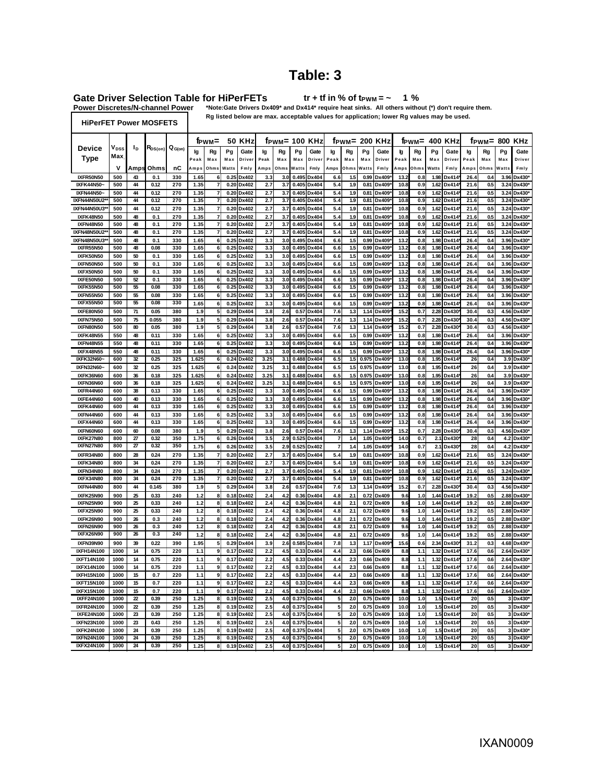# **Table: 3**

Gate Driver Selection Table for HiPerFETs<br>Power Discretes/N-channel Power \*Note:Gate Drivers Dx

**1 % tr + tf in % of tPWM = ~**

\*Note:Gate Drivers Dx409\* and Dx414\* require heat sinks. All others without (\*) don't require them.

**HiPerFET Power MOSFETS**

**Rg listed below are max. acceptable values for application; lower Rg values may be used.**

|                                 |                  |                  |              |             | <b>50 KHz</b><br>f <sub>PWM</sub> = |                              |              | f <sub>PWM</sub> = 100 KHz |             |            | 200 KHz<br>f <sub>PWM</sub> = |                |                       |            |               | t <sub>PWM</sub> = |              | <b>400 KHz</b> | 800<br>t <sub>PWM</sub> = |                |              | KHz        |                         |                 |
|---------------------------------|------------------|------------------|--------------|-------------|-------------------------------------|------------------------------|--------------|----------------------------|-------------|------------|-------------------------------|----------------|-----------------------|------------|---------------|--------------------|--------------|----------------|---------------------------|----------------|--------------|------------|-------------------------|-----------------|
| <b>Device</b>                   | V <sub>DSS</sub> | Ιp               | Ros(on)      | $Q_{G(on)}$ | lg                                  | Rg                           | Pg           | Gate                       | Ig          | Rg         | Pg                            | Gate           | lg                    | Rg         | Pg            | Gate               | þ            | Rg             | Pg                        | Gate           | lg           | Rg         | Pg                      | Gate            |
| Type                            | Max              |                  |              |             | Peal                                | Max                          | Max          | Driver                     | Peak        | Max        | Max                           | Driver         | Peak                  | Max        | Max           | Driver             | ∍eal         | Max            | Max                       | Driver         | Peak         | Max        | Max                     | Driver          |
|                                 | v                | Amps             | Ohms         | nC          | Amps                                | Ohms                         | Watts        | Fmly                       | Amps        | Ohms       | Watts                         | Fmly           | Amps                  | Ohms       | Watts         | Fmly               | Amps         | Ohms           | Watts                     | Fmly           | Amps         | Ohms       | Watts                   | Fmly            |
| IXFR50N50                       | 500              | 43               | 0.1          | 330         | 1.65                                | 6                            | 0.25         | Dx402                      | 3.3         | 3.0        | 0.495                         | Dx404          | 6.6                   | 1.5        | 0.99          | Dx409              | 13.2         | 0.8            | 1.98                      | Dx414          | 26.4         | 0.4        | 3.96                    | Dx430*          |
| IXFK44N50~<br><b>IXFN44N50-</b> | 500<br>500       | 44<br>44         | 0.12<br>0.12 | 270<br>270  | 1.35<br>1.35                        | 7<br>$\overline{\mathbf{r}}$ | 0.20         | 0.20 Dx402<br>Dx402        | 2.7<br>2.7  | 3.7<br>3.7 | 0.405<br>0.405                | Dx404<br>Dx404 | 5.4<br>5.4            | 1.9<br>1.9 | 0.81<br>0.81  | Dx409<br>Dx409     | 10.8<br>10.8 | 0.9<br>0.9     | 1.62<br>1.62              | Dx414<br>Dx414 | 21.6<br>21.6 | 0.5<br>0.5 | 3.24<br>3.24            | Dx430*<br>Dx430 |
| IXFN44N50U2                     | 500              | $\mathbf{A}$     | 0.12         | 270         | 1.35                                | 7                            | 0.20         | Dx402                      | 2.7         | 3.7        | 0.405                         | Dx404          | 5.4                   | 1.9        | 0.81          | Dx409              | 10.8         | 0.9            | 1.62                      | Dx414          | 21.6         | 0.5        | 3.24                    | Dx430           |
| IXFN44N50U3                     | 500              | 44               | 0.12         | 270         | 1.35                                | 7                            | 0.20         | Dx402                      | 2.7         | 3.7        | 0.405                         | Dx404          | 5.4                   | 1.9        | 0.81          | Dx409              | 10.8         | 0.9            | 1.62                      | Dx414          | 21.6         | 0.5        | 3.24                    | Dx430           |
| IXFK48N50                       | 500              | 48               | 0.1          | 270         | 1.35                                | $\overline{7}$               |              | 0.20 Dx402                 | 2.7         | 3.7        | 0.405                         | Dx404          | 5.4                   | 1.9        | 0.81          | Dx409              | 10.8         | 0.9            | 1.62                      | Dx414          | 21.6         | 0.5        | 3.24                    | Dx430*          |
| <b>IXFN48N50</b>                | 500              | 48               | 0.1          | 270         | 1.35                                | $\overline{7}$               | 0.20         | Dx402                      | 2.7         | 3.7        | 0.405                         | Dx404          | 5.4                   | 1.9        | 0.81          | Dx409              | 10.8         | 0.9            | 1.62                      | Dx414          | 21.6         | 0.5        | 3.24                    | Dx430           |
| IXFN48N50U2                     | 500              | 48               | 0.1          | 270         | 1.35                                | 7                            | 0.20         | Dx402                      | 2.7         | 3.7        | 0.405                         | Dx404          | 5.4                   | 1.9        | 0.81          | Dx409              | 10.8         | 0.9            | 1.62                      | Dx414          | 21.6         | 0.5        | 3.24                    | Dx430           |
| IXFN48N50U3                     | 500              | 48               | 0.1          | 330         | 1.65                                | 6                            | 0.25         | Dx402                      | 3.3         | 3.0        | 0.495                         | Dx404          | 6.6                   | 1.5        | 0.99          | Dx409              | 13.2         | 0.8            | 1.98                      | Dx414          | 26.4         | 0.4        | 3.96                    | Dx430*          |
| <b>IXFR55N50</b>                | 500              | 48               | 0.08         | 330         | 1.65                                | 6                            | 0.25         | Dx402                      | 3.3         | 3.0        | 0.495                         | Dx404          | 6.6                   | 1.5        | 0.99          | Dx409              | 13.2         | 0.8            | 1.98                      | Dx414          | 26.4         | 0.4        | 3.96                    | Dx430           |
| IXFK50N50                       | 500              | 50               | 0.1          | 330         | 1.65                                | 6                            | 0.25         | Dx402                      | 3.3         | 3.0        | 0.495                         | Dx404          | 6.6                   | 1.5        | 0.99          | Dx409              | 13.2         | 0.8            | 1.98                      | Dx414          | 26.4         | 0.4        | 3.96                    | Dx430           |
| IXFN50N50<br>IXFX50N50          | 500<br>500       | 50<br>50         | 0.1<br>0.1   | 330<br>330  | 1.65<br>1.65                        | 6<br>6                       | 0.25<br>0.25 | Dx402<br>Dx402             | 3.3<br>3.3  | 3.0<br>3.0 | 0.495<br>0.495                | Dx404<br>Dx404 | 6.6<br>6.6            | 1.5<br>1.5 | 0.99<br>0.99  | Dx409<br>Dx409     | 13.2<br>13.2 | 0.8<br>0.8     | 1.98<br>1.98              | Dx414<br>Dx414 | 26.4<br>26.4 | 0.4<br>0.4 | 3.96<br>3.96            | Dx430*<br>Dx430 |
| IXFE50N50                       | 500              | 52               | 0.1          | 330         | 1.65                                | 6                            | 0.25         | Dx402                      | 3.3         | 3.0        | 0.495                         | Dx404          | 6.6                   | 1.5        | 0.99          | Dx409              | 13.2         | 0.8            | 1.98                      | Dx414          | 26.4         | 0.4        | 3.96                    | Dx430           |
| IXFK55N50                       | 500              | 55               | 0.08         | 330         | 1.65                                | 6                            | 0.25         | Dx402                      | 3.3         | 3.0        | 0.495                         | Dx404          | 6.6                   | 1.5        | 0.99          | Dx409              | 13.2         | 0.8            | 1.98                      | Dx414          | 26.4         | 0.4        | 3.96                    | Dx430           |
| IXFN55N50                       | 500              | 55               | 0.08         | 330         | 1.65                                | 6                            | 0.25         | Dx402                      | 3.3         | 3.0        | 0.495                         | Dx404          | 6.6                   | 1.5        | 0.99          | Dx409              | 13.2         | 0.8            | 1.98                      | Dx414          | 26.4         | 0.4        | 3.96                    | Dx430*          |
| <b>IXFX55N50</b>                | 500              | 55               | 0.08         | 330         | 1.65                                | 6                            | 0.25         | Dx402                      | 3.3         | 3.0        | 0.49!                         | Dx404          | 6.6                   | 1.5        | 0.99          | Dx409              | 13.2         | 0.8            | 1.98                      | Dx414          | 26.4         | 04         | 3.96                    | Dx430           |
| <b>IXFE80N50</b>                | 500              | 71               | 0.05         | 380         | 1.9                                 | 5                            | 0.29         | Dx404                      | 3.8         | 2.6        | 0.57                          | Dx404          | 7.6                   | 1.3        | 1.14          | Dx409              | 15.2         | 0.7            | 2.28                      | Dx430          | 30.4         | 0.3        | 4.56                    | Dx430           |
| IXFN75N50                       | 500              | 75               | 0.055        | 380         | 1.9                                 | 5                            | 0.29         | Dx404                      | 3.8         | 2.6        | 0.57                          | Dx404          | 7.6                   | 1.3        | 1.14          | Dx409              | 15.2         | 0.7            | 2.28                      | Dx430          | 30.4         | 0.3        | 4.56                    | Dx430*          |
| IXFN80N50                       | 500              | 80               | 0.05         | 380         | 1.9                                 | 5                            | 0.29         | Dx404                      | 3.8         | 2.6        | 0.5                           | Dx404          | 7.6                   | 1.3        | 1.14          | Dx409              | 15.2         | 0.7            | 2.28                      | Dx430          | 30.4         | 0.3        | 4.56                    | Dx430           |
| IXFK48N55                       | 550              | 48               | 0.11         | 330         | 1.65                                | 6                            | 0.25         | Dx402                      | 3.3         | 3.0        | 0.495                         | Dx404          | 6.6                   | 1.5        | 0.99          | Dx409              | 13.2         | 0.8            | 1.98                      | Dx414          | 26.4         | 0.4        | 3.96                    | Dx430           |
| IXFN48N55                       | 550              | 48               | 0.11         | 330         | 1.65                                | 6                            | 0.25         | Dx402                      | 3.3         | 3.0        | 0.495                         | Dx404          | 6.6                   | 1.5        | 0.99          | Dx409              | 13.2         | 0.8            | 1.98                      | Dx414          | 26.4         | 0.4        | 3.96                    | Dx430*          |
| <b>IXFX48N55</b><br>IXFK32N60-  | 550<br>600       | 48<br>32         | 0.11<br>0.25 | 330<br>325  | 1.65<br>1.625                       | 6<br>6                       | 0.25<br>0.24 | Dx402<br>Dx402             | 3.3<br>3.25 | 3.0<br>3.1 | 0.495<br>0.488                | Dx404<br>Dx404 | 6.6<br>6.5            | 1.5<br>1.5 | 0.99<br>0.975 | Dx409<br>Dx409     | 13.2<br>13.0 | 0.8<br>0.8     | 1.98<br>1.95              | Dx414<br>Dx414 | 26.4<br>26   | 0.4<br>0.4 | 3.96<br>3.9             | Dx430<br>Dx430  |
| IXFN32N60-                      | 600              | 32               | 0.25         | 325         | 1.625                               | 6                            | 0.24         | Dx402                      | 3.25        | 3.1        | 0.488                         | Dx404          | 6.5                   | 1.5        | 0.975         | Dx409              | 13.0         | 0.8            | 1.95                      | Dx414          | 26           | 0.4        | 3.9                     | Dx430*          |
| IXFK36N60                       | 600              | 36               | 0.18         | 325         | 1.625                               | 6                            | 0.24         | Dx402                      | 3.25        | 3.1        | 0.488                         | Dx404          | 6.5                   | 1.5        | 0.975         | Dx409              | 13.0         | 0.8            | 1.95                      | Dx414          | 26           | 0.4        | 3.9                     | Dx430*          |
| IXFN36N60                       | 600              | 36               | 0.18         | 325         | 1.625                               | 6                            | 0.24         | Dx402                      | 3.25        | 3.1        | 0.488                         | Dx404          | 6.5                   | 1.5        | 0.975         | Dx409              | 13.0         | 0.8            | 1.95                      | Dx414          | 26           | 0.4        | 3.9                     | Dx430           |
| IXFR44N60                       | 600              | 38               | 0.13         | 330         | 1.65                                | 6                            | 0.25         | Dx402                      | 3.3         | 3.0        | 0.495                         | Dx404          | 6.6                   | 1.5        | 0.99          | Dx409              | 13.2         | 0.8            | 1.98                      | Dx414          | 26.4         | 0.4        | 3.96                    | Dx430*          |
| IXFE44N60                       | 600              | 40               | 0.13         | 330         | 1.65                                | 6                            |              | 0.25 Dx402                 | 3.3         | 3.0        | 0.495                         | Dx404          | 6.6                   | 1.5        | 0.99          | Dx409              | 13.2         | 0.8            | 1.98                      | Dx414          | 26.4         | 0.4        | 3.96                    | Dx430*          |
| IXFK44N60                       | 600              | 44               | 0.13         | 330         | 1.65                                | 6                            | 0.25         | Dx402                      | 3.3         | 3.0        | 0.495                         | Dx404          | 6.6                   | 1.5        | 0.99          | Dx409              | 13.2         | 0.8            | 1.98                      | Dx414          | 26.4         | 0.4        | 3.96                    | Dx430           |
| IXFN44N60                       | 600              | 44               | 0.13         | 330         | 1.65                                | 6                            | 0.25         | Dx402                      | 3.3         | 3.0        | 0.49!                         | Dx404          | 6.6                   | 1.5        | 0.99          | Dx409              | 13.2         | 0.8            | 1.98                      | Dx414          | 26.4         | 0.4        | 3.96                    | Dx430           |
| IXFX44N60                       | 600              | 44               | 0.13         | 330         | 1.65                                | 6                            | 0.25         | Dx402                      | 3.3         | 3.0        | 0.495                         | Dx404          | 6.6                   | 1.5        | 0.99          | Dx409              | 13.2         | 0.8            | 1.98                      | Dx414          | 26.4         | 0.4        | 3.96                    | Dx430           |
| IXFN60N60<br>IXFK27N80          | 600<br>800       | 60<br>27         | 0.08<br>0.32 | 380<br>350  | 1.9                                 | 5                            | 0.29<br>0.26 | Dx402<br>Dx404             | 3.8         | 26<br>2.9  | 0.5<br>0.525                  | Dx404<br>Dx404 | 7.6<br>$\overline{7}$ | 1.3<br>1.4 | 114           | Dx409              | 15.2         | 0.7<br>0.7     | 2.28                      | Dx430          | 30.4<br>28   | 0.3<br>0.4 | 4.56                    | Dx430<br>Dx430  |
| IXFN27N80                       | 800              | 27               | 0.32         | 350         | 1.75<br>1.75                        | 6<br>6 <sup>1</sup>          |              | 0.26 Dx402                 | 3.5<br>3.5  | 2.9        | 0.525                         | Dx402          | $\overline{7}$        | 1.4        | 1.05<br>1.05  | Dx409<br>Dx409     | 14.0<br>14.0 | 0.7            | 2.1<br>2.1                | Dx430<br>Dx430 | 28           | 0.4        | 4.2<br>4.2              | Dx430*          |
| IXFR34N80                       | 800              | 28               | 0.24         | 270         | 1.35                                | $\overline{\mathbf{r}}$      | 0.20         | Dx402                      | 2.7         | 3.7        | 0.405                         | Dx404          | 5.4                   | 1.9        | 0.81          | Dx409              | 10.8         | 0.9            | 1.62                      | Dx414          | 21.6         | 0.5        | 3.24                    | Dx430           |
| IXFK34N80                       | 800              | 34               | 0.24         | 270         | 1.35                                | 7                            | 0.20         | Dx402                      | 2.7         | 3.7        | 0.405                         | Dx404          | 5.4                   | 1.9        | 0.81          | Dx409              | 10.8         | 0.9            | 1.62                      | Dx414          | 21.6         | 0.5        | 3.24                    | Dx430           |
| <b>IXFN34N80</b>                | 800              | 34               | 0.24         | 270         | 1.35                                | $\overline{7}$               | 0.20         | Dx402                      | 2.7         | 3.7        | 0.405                         | Dx404          | 5.4                   | 1.9        | 0.81          | Dx409              | 10.8         | 0.9            | 1.62                      | Dx414          | 21.6         | 0.5        | 3.24                    | Dx430*          |
| IXFX34N80                       | 800              | 34               | 0.24         | 270         | 1.35                                | 7                            | 0.20         | Dx402                      | 2.7         | 3.7        | 0.405                         | Dx404          | 5.4                   | 1.9        | 0.81          | Dx409              | 10.8         | 0.9            | 1.62                      | Dx414          | 21.6         | 0.5        | 3.24                    | Dx430*          |
| <b>IXFN44N80</b>                | 800              | 44               | 0.145        | 380         | 1.9                                 | 5                            | 0.29         | Dx404                      | 3.8         | 2.6        | 0.57                          | Dx404          | 7.6                   | 1.3        | 1.14          | Dx409              | 15.2         | 0.7            | 228                       | Dx430          | 30.4         | 0.3        | 4.56                    | Dx430           |
| IXFK25N90                       | 900              | 25               | 0.33         | 240         | 1.2                                 | 8                            |              | 0.18 Dx402                 | 2.4         | 4.2        | 0.36                          | Dx404          | 4.8                   | 21         | 0.72          | Dx409              | 9.6          | 1.0            | 1.44                      | Dx414          | 19.2         | 0.5        | 2.88                    | Dx430*          |
| IXFN25N90                       | 900              | 25               | 0.33         | 240         | 1.2                                 | 8                            | 0.18         | Dx402                      | 2.4         | 4.2        | 0.36                          | Dx404          | 4.8                   | 21         | 0.72          | Dx409              | 9.6          | 1.0            | 1.44                      | Dx414          | 19.2         | 0.5        | 2.88                    | Dx430           |
| IXFX25N90                       | 900              | 25               | 0.33         | 240         | 1.2                                 | 8                            | 0.18         | Dx402                      | 2.4         | 4.2        | 0.36                          | Dx404          | 4.8                   | 21         | 0.72          | Dx409              | 9.6          | 1.0            | 1.44                      | Dx414          | 19.2         | 0.5        | 2.88                    | Dx430           |
| IXFK26N90                       | 900              | 26               | 0.3          | 240         | 1.2                                 | 8                            | 0.18         | Dx402                      | 2.4         | 4.2        | 0.36                          | Dx404          | 4.8                   | 21         | 0.72          | Dx409              | 9.6          | 1.0            | 1.44                      | Dx414          | 19.2         | 0.5        | 288                     | Dx430*          |
| IXFN26N90<br>IXFX26N90          | 900<br>900       | 26<br>26         | 0.3<br>0.3   | 240<br>240  | 1.2                                 | 8                            | 0.18<br>0.18 | Dx402<br>Dx402             | 2.4<br>2.4  | 4.2        | 0.36<br>0.36                  | Dx404<br>Dx404 | 4.8<br>4.8            | 21<br>21   | 0.72<br>0.72  | Dx409<br>Dx409     | 9.6          | 1.0            | 1.44<br>1.44              | Dx414          | 19.2<br>192  | 0.5<br>05  | 2.88<br>2.88            | Dx430*<br>Dx430 |
| IXFN39N90                       | 900              | 39               | 0.22         | 390         | 1.2<br>1.95                         | 8<br>5                       | 0.29         | Dx404                      | 3.9         | 4.2<br>2.6 | 0.585                         | Dx404          | 7.8                   | 1.3        | 1.17          | Dx409              | 9.6<br>15.6  | 1.0<br>0.6     | 2.34                      | Dx414<br>Dx430 | 31.2         | 0.3        | 4.68                    | Dx430*          |
| IXFH14N100                      | 1000             | 14               | 0.75         | 220         | 1.1                                 | $\boldsymbol{9}$             | 0.17         | Dx402                      | 2.2         | 4.5        | 0.33                          | Dx404          | 4.4                   | 23         | 0.66          | Dx409              | 8.8          | 1.1            | 1.32                      | Dx414          | 17.6         | 0.6        | 2.64                    | Dx430           |
| IXFT14N100                      | 1000             | 14               | 0.75         | 220         | 1.1                                 | 9                            | 0.17         | Dx402                      | 2.2         | 4.5        | 0.33                          | Dx404          | 4.4                   | 23         | 0.66          | Dx409              | 8.8          | 1.1            | 1.32                      | Dx414          | 17.6         | 0.6        | 2.64                    | Dx430           |
| IXFX14N100                      | 1000             | 14               | 0.75         | 220         | 1.1                                 | 9                            | 0.17         | Dx402                      | 2.2         | 4.5        | 0.33                          | Dx404          | 4.4                   | 23         | 33.0          | Dx409              | 8.8          | 1.1            | 1.32                      | Dx414          | 17.6         | 0.6        | 2.64                    | Dx430*          |
| IXFH15N100                      | 1000             | 15               | 0.7          | 220         | 1.1                                 | 9                            | 0.17         | Dx402                      | 2.2         | 4.5        | 0.33                          | Dx404          | 4.4                   | 23         | 0.66          | Dx409              | 8.8          | 1.1            | 1.32                      | Dx414          | 17.6         | 0.6        | 2.64                    | Dx430*          |
| IXFT15N100                      | 1000             | 15               | 0.7          | 220         | 1.1                                 | 9                            | 0.17         | Dx402                      | 2.2         | 4.5        | 0.33                          | Dx404          | 4.4                   | 23         | 0.66          | Dx409              | 8.8          | 1.1            | 1.32                      | Dx414          | 17.6         | 0.6        | 2.64                    | Dx430           |
| IXFX15N100                      | 1000             | 15               | 0.7          | 220         | 1.1                                 | 9                            | 0.17         | Dx402                      | 2.2         | 4.5        | 0.33                          | Dx404          | 4.4                   | 23         | 0.66          | Dx409              | 8.8          | 1.1            | 1.32                      | Dx414          | 17.6         | 0.6        | 2.64                    | Dx430*          |
| <b>IXFF24N100</b>               | 1000             | $\boldsymbol{z}$ | 0.39         | 250         | 1.25                                | 8                            | 0.19         | Dx402                      | 2.5         | 4.0        | 0.375                         | Dx404          | 5                     | 20         | 0.75          | Dx409              | 10.0         | 1.0            | 1.5                       | Dx414          | 20           | 0.5        | 3                       | Dx430*          |
| IXFR24N100                      | 1000             | $\boldsymbol{z}$ | 0.39         | 250         | 1.25                                | 8                            | 0.19         | Dx402                      | 2.5         | 4.0        | 0.375                         | Dx404          | 5                     | 20         | 0.75          | Dx409              | 10.0         | 1.0            | 1.5                       | Dx414          | 20           | 0.5        | 3                       | Dx430           |
| <b>IXFE24N100</b><br>IXFN23N100 | 1000<br>1000     | 23<br>23         | 0.39<br>0.43 | 250<br>250  | 1.25<br>1.25                        | 8<br>8                       | 0.19<br>0.19 | Dx402<br>Dx402             | 2.5<br>2.5  | 4.0<br>4.0 | 0.375<br>0.375                | Dx404<br>Dx404 | 5<br>5                | 20<br>20   | 0.75<br>0.75  | Dx409<br>Dx409     | 10.0<br>10.0 | 1.0<br>1.0     | 1.5<br>1.5                | Dx414<br>Dx414 | 20<br>20     | 0.5<br>0.5 | 3<br>3                  | Dx430<br>Dx430* |
| IXFK24N100                      | 1000             | 24               | 0.39         | 250         | 1.25                                | 8                            | 0.19         | Dx402                      | 2.5         | 4.0        | 0.37!                         | Dx404          | 5                     | 20         | 0.75          | Dx409              | 10.0         | 1.0            | 1.5                       | Dx414          | 20           | 0.5        | 3                       | Dx430           |
| <b>IXFN24N100</b>               | 1000             | 24               | 0.39         | 250         | 1.25                                | 8                            | 0.19         | Dx402                      | 2.5         | 4.0        | 0.375                         | Dx404          | 5                     | 20         | 0.75          | Dx409              | 10.0         | 1.0            | 1.5                       | Dx414          | 20           | 0.5        | $\overline{\mathbf{3}}$ | Dx430*          |
| <b>IXFX24N100</b>               | 1000             | 24               | 0.39         | 250         | 1.25                                | 8                            |              | 0.19 Dx402                 | 2.5         | 4.0        |                               | 0.375 Dx404    | 5                     | 20         |               | 0.75 Dx409         | 10.0         | 1.0            | 1.5                       | Dx414*         | 20           | 0.5        |                         | 3 Dx430*        |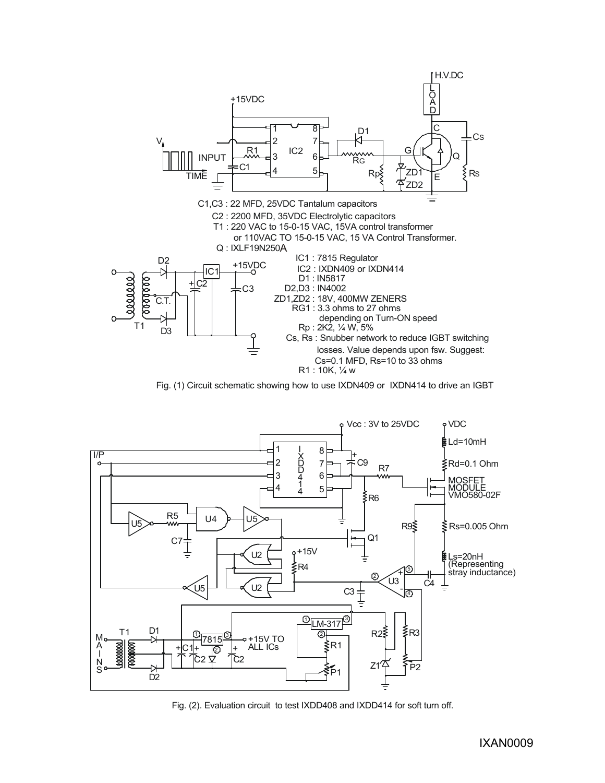





Fig. (2). Evaluation circuit to test IXDD408 and IXDD414 for soft turn off.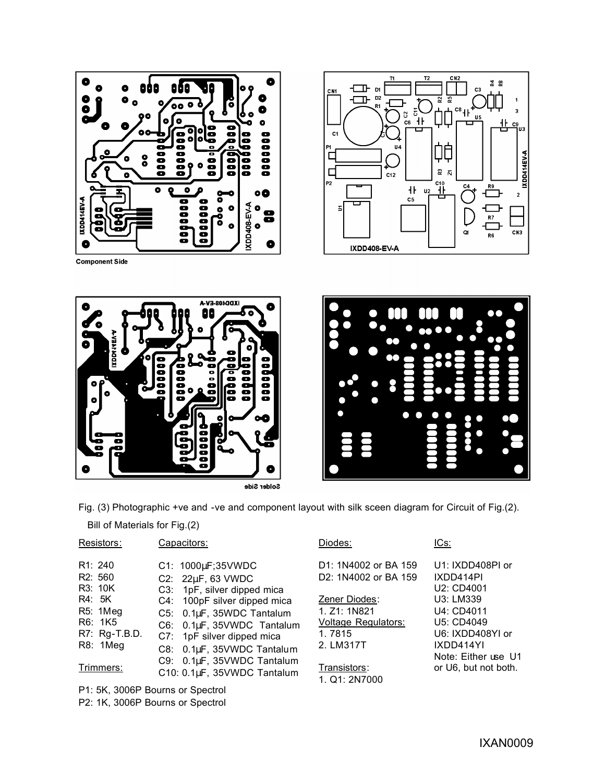





Solder Side



Fig. (3) Photographic +ve and -ve and component layout with silk sceen diagram for Circuit of Fig.(2).

Bill of Materials for Fig.(2)

| Resistors:                                   | Capacitors:                                                   |   |
|----------------------------------------------|---------------------------------------------------------------|---|
| R <sub>1</sub> : 240<br>R <sub>2</sub> : 560 | C1: 1000µF;35VWDC<br>C2: 22µF, 63 VWDC                        |   |
| R3: 10K<br>R4: 5K                            | C3: 1pF, silver dipped mica<br>C4: 100pF silver dipped mica   | ï |
| R5: 1Meg<br>R6: 1K5<br>R7: Rg-T.B.D.         | C5: 0.1µF, 35WDC Tantalum<br>C6: 0.1µF, 35VWDC Tantalum       |   |
| R8: 1Meg                                     | C7: 1pF silver dipped mica<br>0.1µF, 35VWDC Tantalum<br>C8: . | ۦ |
| Trimmers:                                    | C9: 0.1µF, 35VWDC Tantalum<br>C10: 0.1µF, 35VWDC Tantalum     | J |

P1: 5K, 3006P Bourns or Spectrol P2: 1K, 3006P Bourns or Spectrol

#### Diodes:

D1: 1N4002 or BA 159 D2: 1N4002 or BA 159

Zener Diodes: 1. Z1: 1N821 Voltage Regulators: 1. 7815 2. LM317T

## Transistors: 1. Q1: 2N7000

#### ICs:

U1: IXDD408PI or IXDD414PI U2: CD4001 U3: LM339 U4: CD4011 U5: CD4049 U6: IXDD408YI or IXDD414YI Note: Either use U1 or U6, but not both.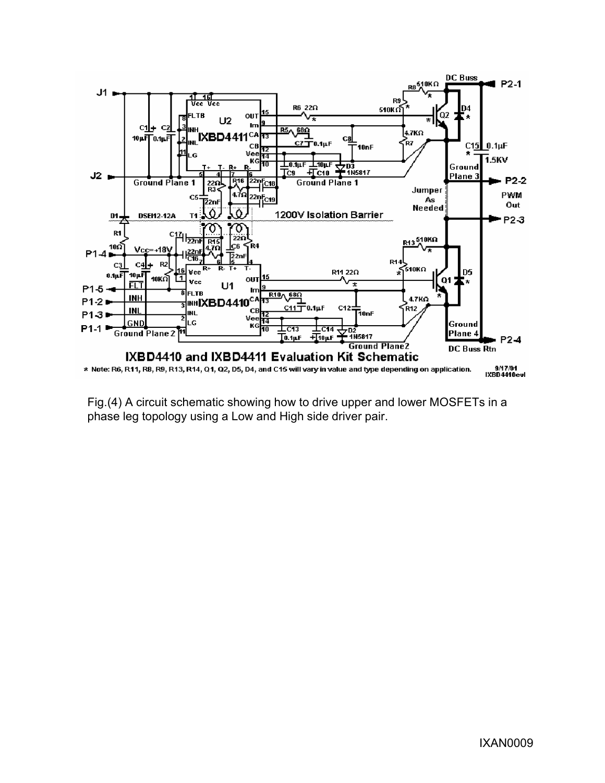

Fig.(4) A circuit schematic showing how to drive upper and lower MOSFETs in a phase leg topology using a Low and High side driver pair.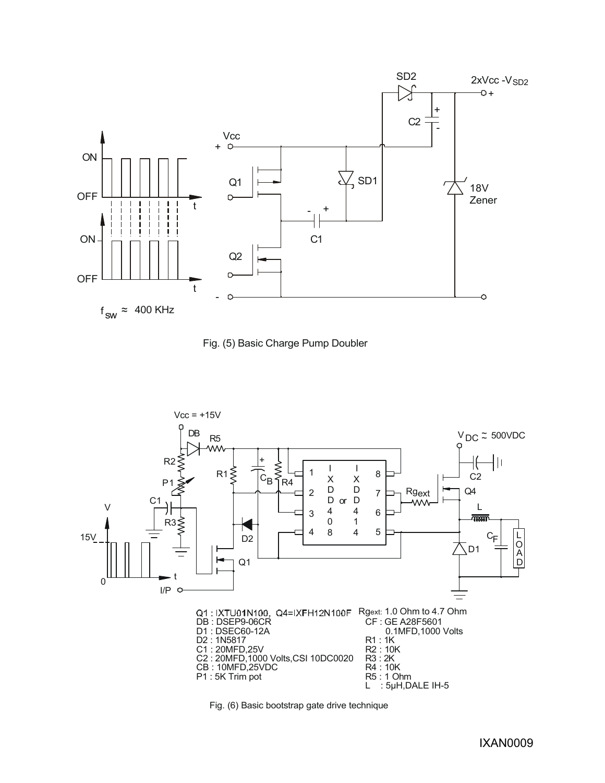





Fig. (6) Basic bootstrap gate drive technique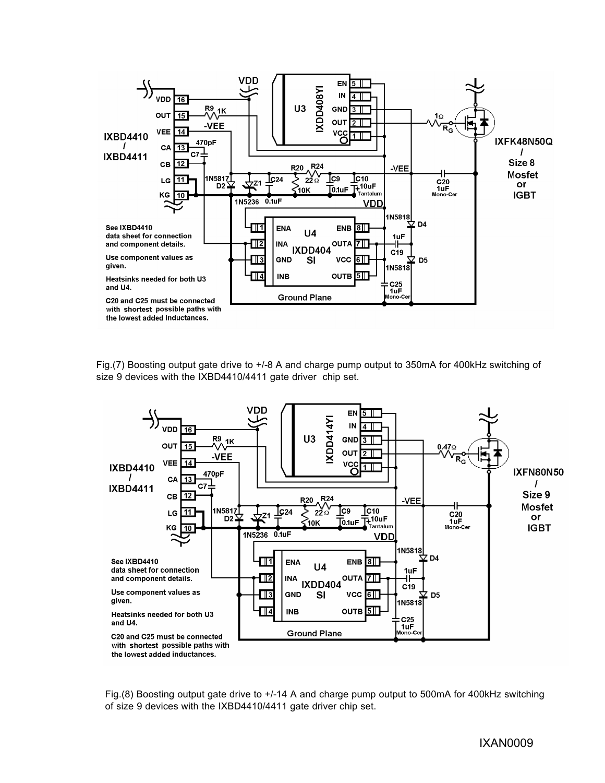

Fig.(7) Boosting output gate drive to +/-8 A and charge pump output to 350mA for 400kHz switching of size 9 devices with the IXBD4410/4411 gate driver chip set.



Fig.(8) Boosting output gate drive to +/-14 A and charge pump output to 500mA for 400kHz switching of size 9 devices with the IXBD4410/4411 gate driver chip set.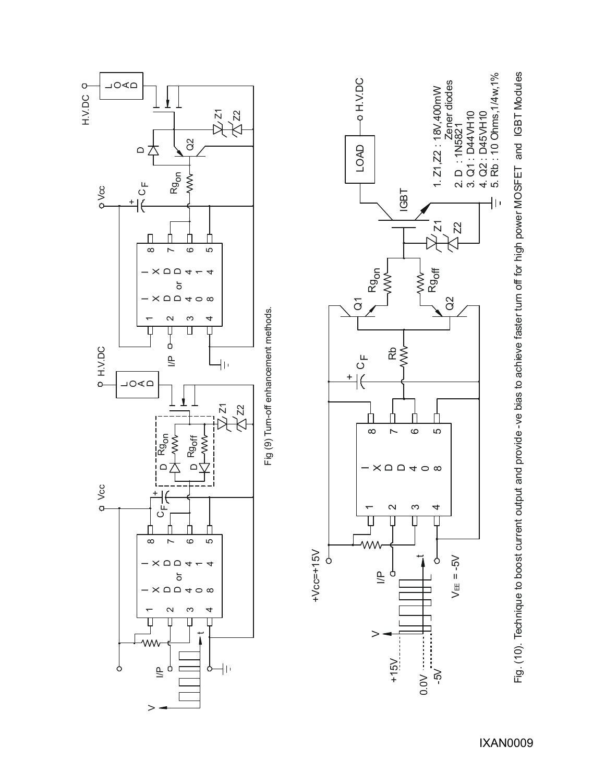

Fig. (10). Technique to boost current output and provide -ve bias to achieve faster turn off for high power MOSFET and IGBT Modules Fig. (10). Technique to boost current output and provide -ve bias to achieve faster turn off for high power MOSFET and IGBT Modules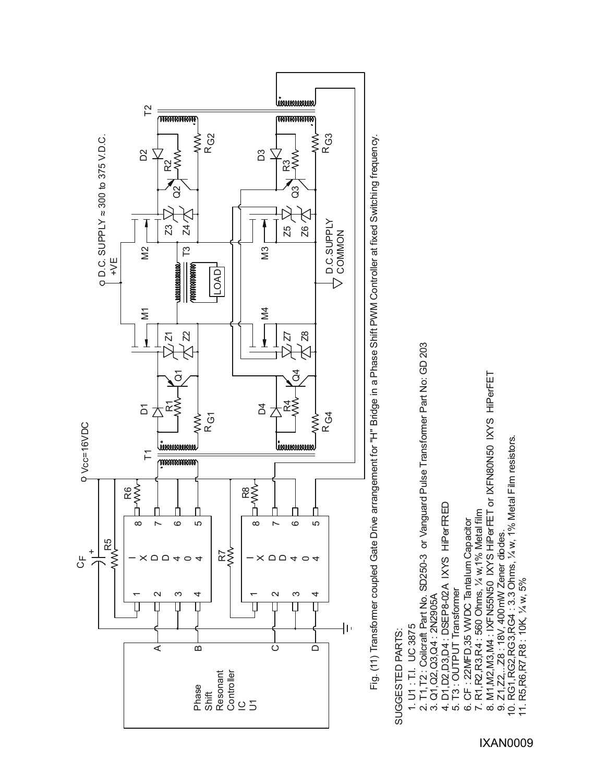

Fig. (11) Transformer coupled Gate Drive arrangement for "H" Bridge in a Phase Shift PWM Controller at fixed Switching frequency. Fig. (11) Transformer coupled Gate Drive arrangement for "H" Bridge in a Phase Shift PWM Controller at fixed Switching frequency

# SUGGESTED PARTS: SUGGESTED PARTS:

- 1. U1 : T.I. UC 3875
- 1. U1 : T.I. UC 3875<br>2. T1, T2 : Coilcraft Part No. SD250-3 or Vanguard Pulse Transformer Part No: GD 203 2. T1,T2 : Coilcraft Part No. SD250-3 or Vanguard Pulse Transformer Part No: GD 203
	- 3. Q1, Q2, Q3, Q4: 2N2905A 3. Q1,Q2,Q3,Q4 : 2N2905A
- 4. D1, D2, D3, D4: DSEP8-02A IXYS HIPerFRED 4. D1,D2,D3,D4 : DSEP8-02A IXYS HiPerFRED
	- 5. T3 : OUTPUT Transformer
	- 5. T3 : OUTPUT Transformer<br>6. CF : 22MFD, 35 VWDC Tantalum Capacitor 6. CF : 22MFD,35 VWDC Tantalum Capacitor
- 
- 7. R1, R2, R3, R4 : 560 Ohms, % w, 1% Metal film<br>8. M1, M2, M3, M4 : IXF N55N50 IXYS HiPerFET or IXFN80N50 IXYS HiPerFET 8. M1,M2,M3,M4 : IXFN55N50 IXYS HiPerFET or IXFN80N50 IXYS HiPerFET 7. R1,R2,R3,R4 : 560 Ohms, ¼ w,1% Metal film
	-
	- 9. Z1,  $Z2$ , ... Z8 : 18V, 400 mW Zener diodes.<br>10. RG1, RG2, RG3, RG4 : 3.3 Ohms, 1/4 w, 1% Metal Film resistors.<br>11. R5, R6, R7, R8 : 10K, 1/4 w, 5% 10. RG1,RG2,RG3,RG4 : 3.3 Ohms, ¼ w, 1% Metal Film resistors. 9. Z1,Z2,...Z8 : 18V, 400mW Zener diodes.<br>1 RG1 RG2 RG3 RG4 : 3.3 Ohms 1/4 11
		- 11. R5,R6,R7,R8 : 10K, ¼ w, 5%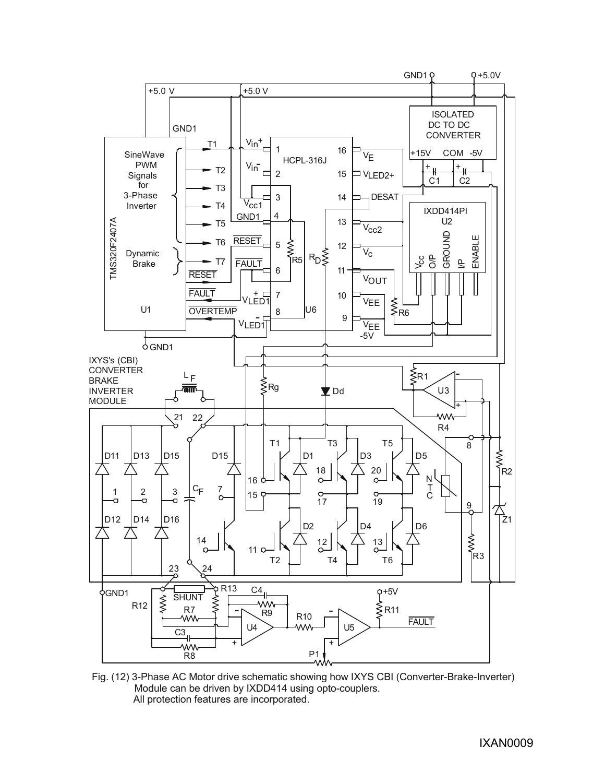

Fig. (12) 3-Phase AC Motor drive schematic showing how IXYS CBI (Converter-Brake-Inverter) Module can be driven by IXDD414 using opto-couplers. All protection features are incorporated.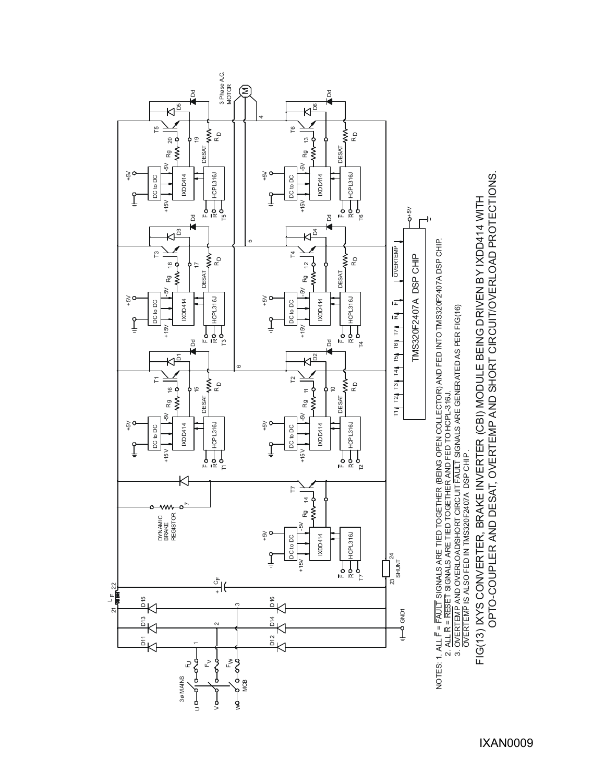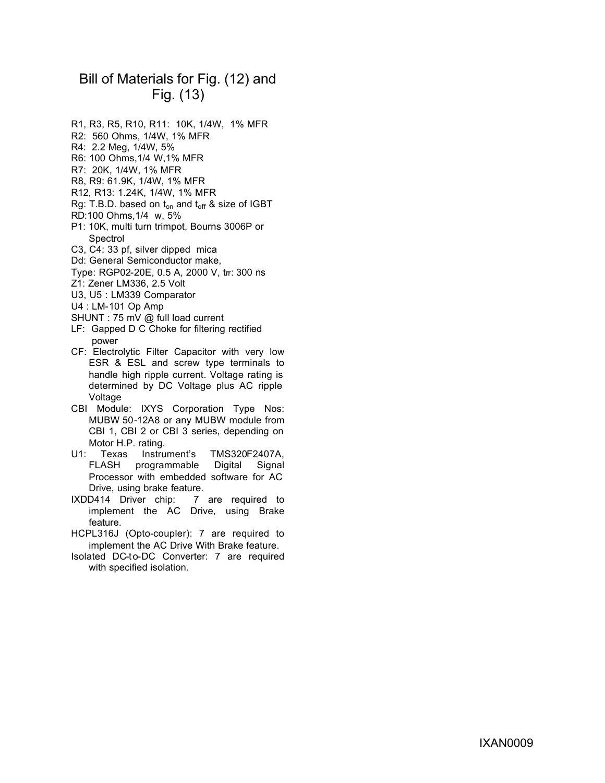# Bill of Materials for Fig. (12) and Fig. (13)

- R1, R3, R5, R10, R11: 10K, 1/4W, 1% MFR
- R2: 560 Ohms, 1/4W, 1% MFR
- R4: 2.2 Meg, 1/4W, 5%
- R6: 100 Ohms,1/4 W,1% MFR
- R7: 20K, 1/4W, 1% MFR
- R8, R9: 61.9K, 1/4W, 1% MFR
- R12, R13: 1.24K, 1/4W, 1% MFR
- Rg: T.B.D. based on  $t_{on}$  and  $t_{off}$  & size of IGBT
- RD:100 Ohms,1/4 w, 5%
- P1: 10K, multi turn trimpot, Bourns 3006P or Spectrol
- C3, C4: 33 pf, silver dipped mica
- Dd: General Semiconductor make,
- Type: RGP02-20E, 0.5 A, 2000 V, trr: 300 ns
- Z1: Zener LM336, 2.5 Volt
- U3, U5 : LM339 Comparator
- U4 : LM-101 Op Amp
- SHUNT : 75 mV @ full load current
- LF: Gapped D C Choke for filtering rectified power
- CF: Electrolytic Filter Capacitor with very low ESR & ESL and screw type terminals to handle high ripple current. Voltage rating is determined by DC Voltage plus AC ripple Voltage
- CBI Module: IXYS Corporation Type Nos: MUBW 50-12A8 or any MUBW module from CBI 1, CBI 2 or CBI 3 series, depending on Motor H.P. rating.
- U1: Texas Instrument's TMS320F2407A, FLASH programmable Digital Signal Processor with embedded software for AC Drive, using brake feature.<br>D414 Driver chip: 7 are required to
- IXDD414 Driver chip: implement the AC Drive, using Brake feature.
- HCPL316J (Opto-coupler): 7 are required to implement the AC Drive With Brake feature.
- Isolated DC-to-DC Converter: 7 are required with specified isolation.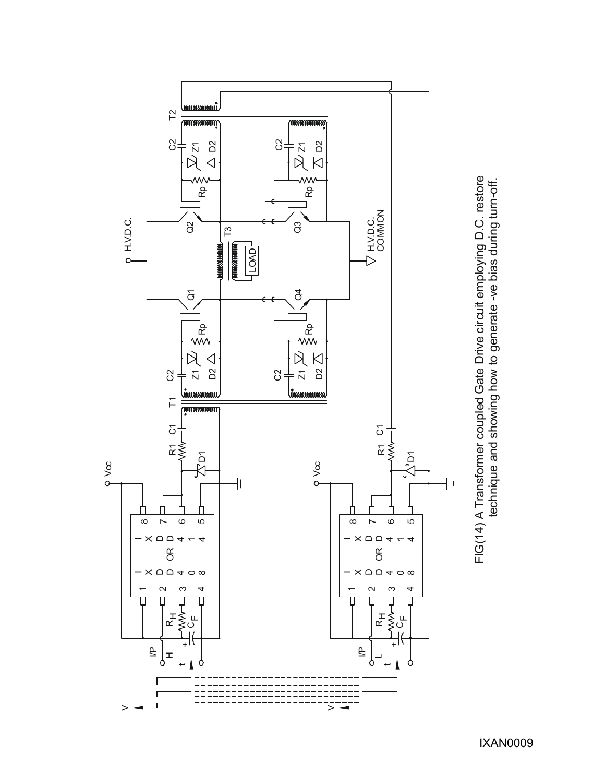

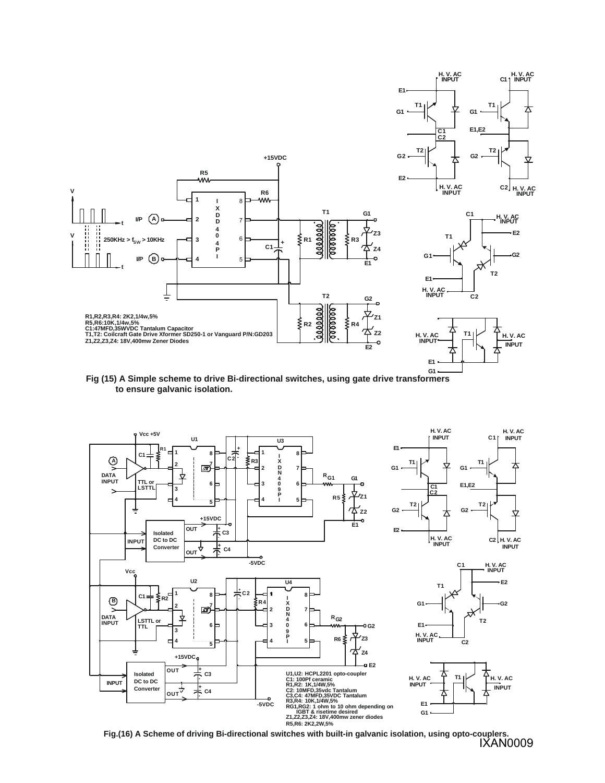

**Fig (15) A Simple scheme to drive Bi-directional switches, using gate drive transformers to ensure galvanic isolation.**



**Fig.(16) A Scheme of driving Bi-directional switches with built-in galvanic isolation, using opto-couplers.** IXAN0009